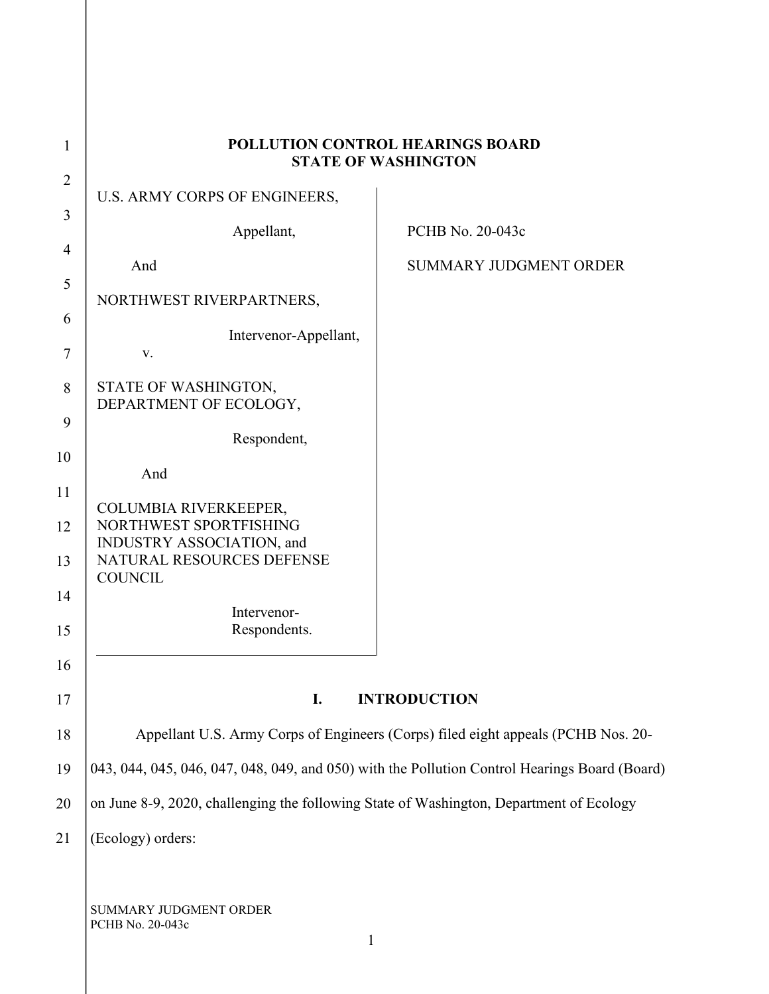| 1              | POLLUTION CONTROL HEARINGS BOARD<br><b>STATE OF WASHINGTON</b>                                |                               |
|----------------|-----------------------------------------------------------------------------------------------|-------------------------------|
| $\overline{2}$ | U.S. ARMY CORPS OF ENGINEERS,                                                                 |                               |
| 3              | Appellant,                                                                                    | PCHB No. 20-043c              |
| $\overline{4}$ | And                                                                                           | <b>SUMMARY JUDGMENT ORDER</b> |
| 5              |                                                                                               |                               |
| 6              | NORTHWEST RIVERPARTNERS,                                                                      |                               |
| $\tau$         | Intervenor-Appellant,<br>V.                                                                   |                               |
| 8              | STATE OF WASHINGTON,<br>DEPARTMENT OF ECOLOGY,                                                |                               |
| 9              |                                                                                               |                               |
| 10             | Respondent,                                                                                   |                               |
| 11             | And                                                                                           |                               |
| 12             | COLUMBIA RIVERKEEPER,<br>NORTHWEST SPORTFISHING                                               |                               |
| 13             | INDUSTRY ASSOCIATION, and<br>NATURAL RESOURCES DEFENSE                                        |                               |
|                | <b>COUNCIL</b>                                                                                |                               |
| 14             | Intervenor-                                                                                   |                               |
| 15             | Respondents.                                                                                  |                               |
| 16             |                                                                                               |                               |
| 17             | <b>INTRODUCTION</b><br>I.                                                                     |                               |
| 18             | Appellant U.S. Army Corps of Engineers (Corps) filed eight appeals (PCHB Nos. 20-             |                               |
| 19             | 043, 044, 045, 046, 047, 048, 049, and 050) with the Pollution Control Hearings Board (Board) |                               |
| 20             | on June 8-9, 2020, challenging the following State of Washington, Department of Ecology       |                               |
| 21             | (Ecology) orders:                                                                             |                               |
|                |                                                                                               |                               |
|                | SUMMARY JUDGMENT ORDER<br>PCHB No. 20-043c<br>$\mathbf{1}$                                    |                               |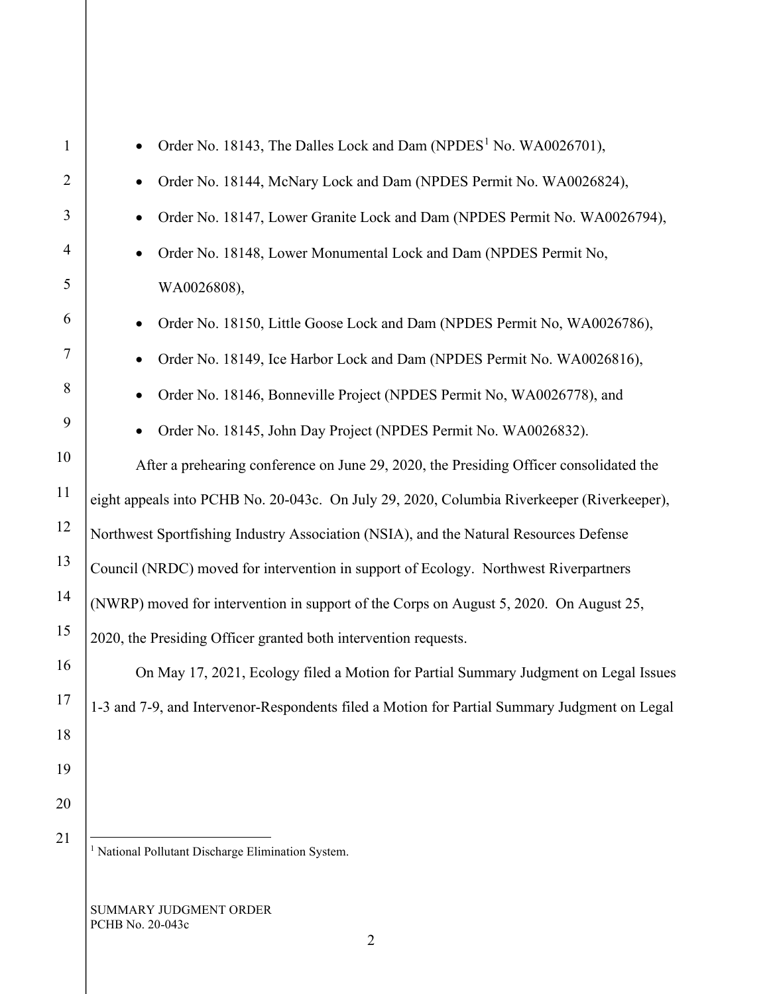| $\mathbf{1}$   | Order No. 18143, The Dalles Lock and Dam (NPDES <sup>1</sup> No. WA0026701),                 |  |
|----------------|----------------------------------------------------------------------------------------------|--|
| $\overline{2}$ | Order No. 18144, McNary Lock and Dam (NPDES Permit No. WA0026824),                           |  |
| 3              | Order No. 18147, Lower Granite Lock and Dam (NPDES Permit No. WA0026794),                    |  |
| $\overline{4}$ | Order No. 18148, Lower Monumental Lock and Dam (NPDES Permit No,                             |  |
| 5              | WA0026808),                                                                                  |  |
| 6              | Order No. 18150, Little Goose Lock and Dam (NPDES Permit No, WA0026786),                     |  |
| 7              | Order No. 18149, Ice Harbor Lock and Dam (NPDES Permit No. WA0026816),                       |  |
| 8              | Order No. 18146, Bonneville Project (NPDES Permit No, WA0026778), and                        |  |
| 9              | Order No. 18145, John Day Project (NPDES Permit No. WA0026832).                              |  |
| 10             | After a prehearing conference on June 29, 2020, the Presiding Officer consolidated the       |  |
| 11             | eight appeals into PCHB No. 20-043c. On July 29, 2020, Columbia Riverkeeper (Riverkeeper),   |  |
| 12             | Northwest Sportfishing Industry Association (NSIA), and the Natural Resources Defense        |  |
| 13             | Council (NRDC) moved for intervention in support of Ecology. Northwest Riverpartners         |  |
| 14             | (NWRP) moved for intervention in support of the Corps on August 5, 2020. On August 25,       |  |
| 15             | 2020, the Presiding Officer granted both intervention requests.                              |  |
| 16             | On May 17, 2021, Ecology filed a Motion for Partial Summary Judgment on Legal Issues         |  |
| 17             | 1-3 and 7-9, and Intervenor-Respondents filed a Motion for Partial Summary Judgment on Legal |  |
| 18             |                                                                                              |  |
| 19             |                                                                                              |  |
| 20             |                                                                                              |  |
| 21             |                                                                                              |  |

<span id="page-1-0"></span><sup>1</sup> National Pollutant Discharge Elimination System.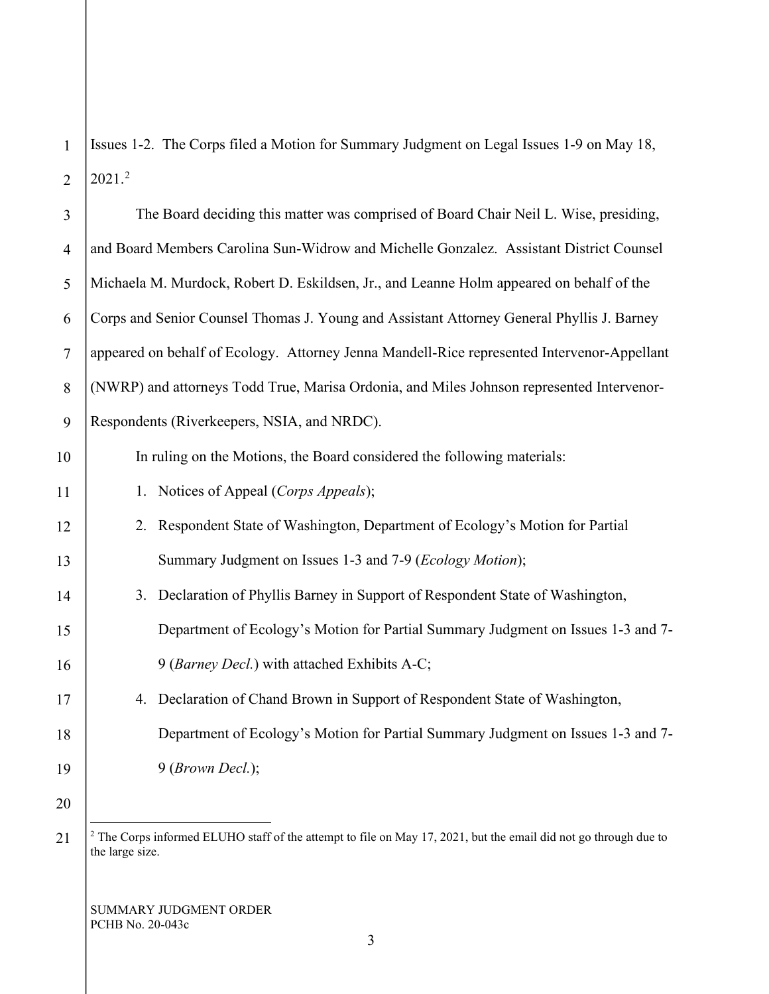1 2 Issues 1-2. The Corps filed a Motion for Summary Judgment on Legal Issues 1-9 on May 18, 2021.[2](#page-2-0)

| $\overline{3}$ | The Board deciding this matter was comprised of Board Chair Neil L. Wise, presiding,        |  |
|----------------|---------------------------------------------------------------------------------------------|--|
| $\overline{4}$ | and Board Members Carolina Sun-Widrow and Michelle Gonzalez. Assistant District Counsel     |  |
| 5              | Michaela M. Murdock, Robert D. Eskildsen, Jr., and Leanne Holm appeared on behalf of the    |  |
| 6              | Corps and Senior Counsel Thomas J. Young and Assistant Attorney General Phyllis J. Barney   |  |
| $\tau$         | appeared on behalf of Ecology. Attorney Jenna Mandell-Rice represented Intervenor-Appellant |  |
| 8              | (NWRP) and attorneys Todd True, Marisa Ordonia, and Miles Johnson represented Intervenor-   |  |
| 9              | Respondents (Riverkeepers, NSIA, and NRDC).                                                 |  |
| 10             | In ruling on the Motions, the Board considered the following materials:                     |  |
| 11             | 1. Notices of Appeal (Corps Appeals);                                                       |  |
| 12             | 2. Respondent State of Washington, Department of Ecology's Motion for Partial               |  |
| 13             | Summary Judgment on Issues 1-3 and 7-9 ( <i>Ecology Motion</i> );                           |  |
| 14             | 3. Declaration of Phyllis Barney in Support of Respondent State of Washington,              |  |
| 15             | Department of Ecology's Motion for Partial Summary Judgment on Issues 1-3 and 7-            |  |
| 16             | 9 (Barney Decl.) with attached Exhibits A-C;                                                |  |
| 17             | 4. Declaration of Chand Brown in Support of Respondent State of Washington,                 |  |
| 18             | Department of Ecology's Motion for Partial Summary Judgment on Issues 1-3 and 7-            |  |
| 19             | 9 (Brown Decl.);                                                                            |  |
| 20             |                                                                                             |  |

<span id="page-2-0"></span><sup>21</sup>

<sup>&</sup>lt;sup>2</sup> The Corps informed ELUHO staff of the attempt to file on May 17, 2021, but the email did not go through due to the large size.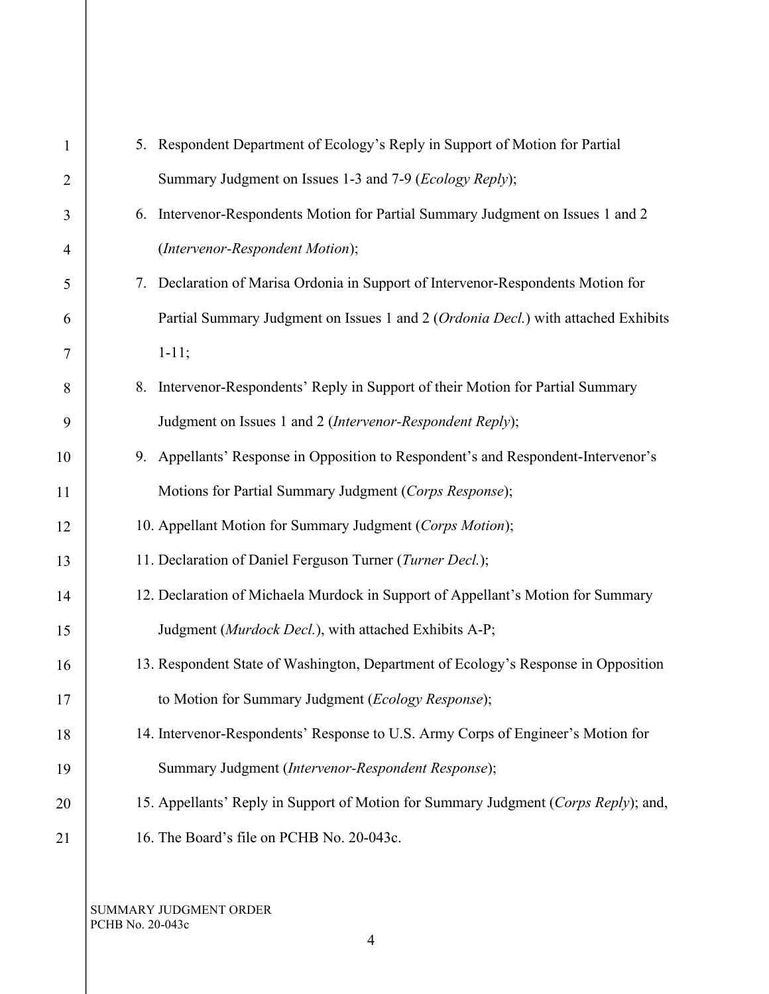| $\mathbf{1}$ | 5. Respondent Department of Ecology's Reply in Support of Motion for Partial        |
|--------------|-------------------------------------------------------------------------------------|
| 2            | Summary Judgment on Issues 1-3 and 7-9 ( <i>Ecology Reply</i> );                    |
| 3            | Intervenor-Respondents Motion for Partial Summary Judgment on Issues 1 and 2<br>6.  |
| 4            | (Intervenor-Respondent Motion);                                                     |
| 5            | 7. Declaration of Marisa Ordonia in Support of Intervenor-Respondents Motion for    |
| 6            | Partial Summary Judgment on Issues 1 and 2 (Ordonia Decl.) with attached Exhibits   |
| 7            | $1 - 11;$                                                                           |
| 8            | 8. Intervenor-Respondents' Reply in Support of their Motion for Partial Summary     |
| 9            | Judgment on Issues 1 and 2 (Intervenor-Respondent Reply);                           |
| 10           | 9. Appellants' Response in Opposition to Respondent's and Respondent-Intervenor's   |
| 11           | Motions for Partial Summary Judgment (Corps Response);                              |
| 12           | 10. Appellant Motion for Summary Judgment (Corps Motion);                           |
| 13           | 11. Declaration of Daniel Ferguson Turner (Turner Decl.);                           |
| 14           | 12. Declaration of Michaela Murdock in Support of Appellant's Motion for Summary    |
| 15           | Judgment (Murdock Decl.), with attached Exhibits A-P;                               |
| 16           | 13. Respondent State of Washington, Department of Ecology's Response in Opposition  |
| 17           | to Motion for Summary Judgment (Ecology Response);                                  |
| 18           | 14. Intervenor-Respondents' Response to U.S. Army Corps of Engineer's Motion for    |
| 19           | Summary Judgment (Intervenor-Respondent Response);                                  |
| 20           | 15. Appellants' Reply in Support of Motion for Summary Judgment (Corps Reply); and, |
| 21           | 16. The Board's file on PCHB No. 20-043c.                                           |
|              |                                                                                     |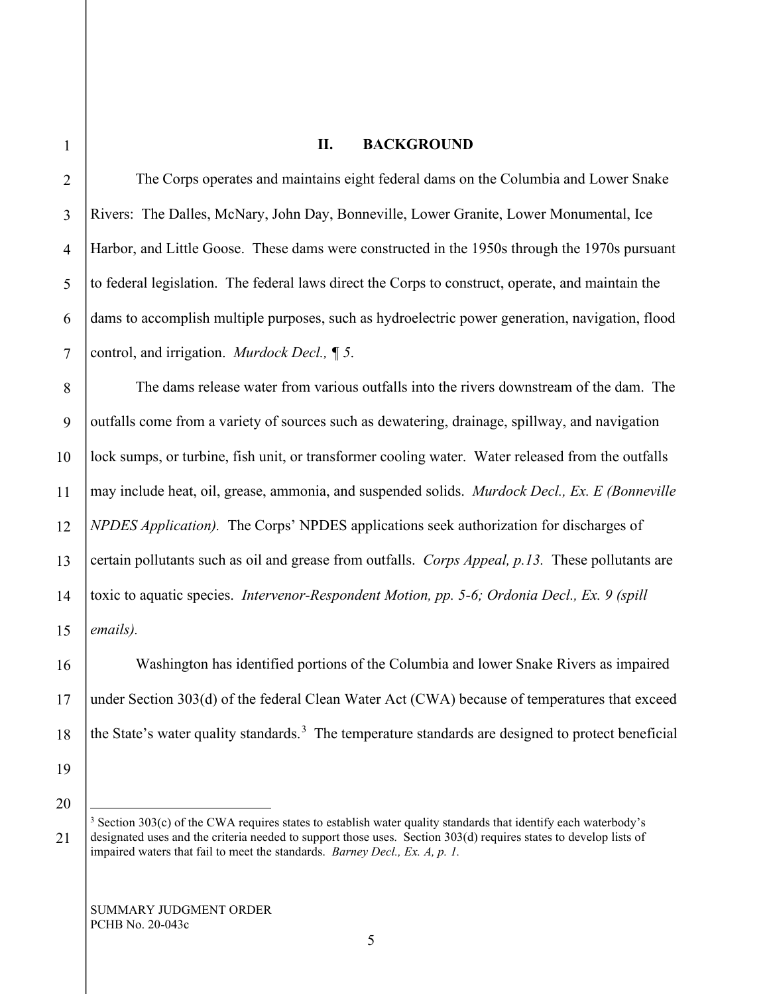#### **II. BACKGROUND**

The Corps operates and maintains eight federal dams on the Columbia and Lower Snake Rivers: The Dalles, McNary, John Day, Bonneville, Lower Granite, Lower Monumental, Ice Harbor, and Little Goose. These dams were constructed in the 1950s through the 1970s pursuant to federal legislation. The federal laws direct the Corps to construct, operate, and maintain the dams to accomplish multiple purposes, such as hydroelectric power generation, navigation, flood control, and irrigation. *Murdock Decl., ¶ 5*.

8 9 10 11 12 13 14 15 The dams release water from various outfalls into the rivers downstream of the dam. The outfalls come from a variety of sources such as dewatering, drainage, spillway, and navigation lock sumps, or turbine, fish unit, or transformer cooling water. Water released from the outfalls may include heat, oil, grease, ammonia, and suspended solids. *Murdock Decl., Ex. E (Bonneville NPDES Application).* The Corps' NPDES applications seek authorization for discharges of certain pollutants such as oil and grease from outfalls. *Corps Appeal, p.13.* These pollutants are toxic to aquatic species. *Intervenor-Respondent Motion, pp. 5-6; Ordonia Decl., Ex. 9 (spill emails).*

Washington has identified portions of the Columbia and lower Snake Rivers as impaired under Section 303(d) of the federal Clean Water Act (CWA) because of temperatures that exceed the State's water quality standards.<sup>[3](#page-4-0)</sup> The temperature standards are designed to protect beneficial

20

<span id="page-4-0"></span>21

19

16

17

18

1

2

3

4

5

6

 $3$  Section 303(c) of the CWA requires states to establish water quality standards that identify each waterbody's designated uses and the criteria needed to support those uses. Section 303(d) requires states to develop lists of impaired waters that fail to meet the standards. *Barney Decl., Ex. A, p. 1.*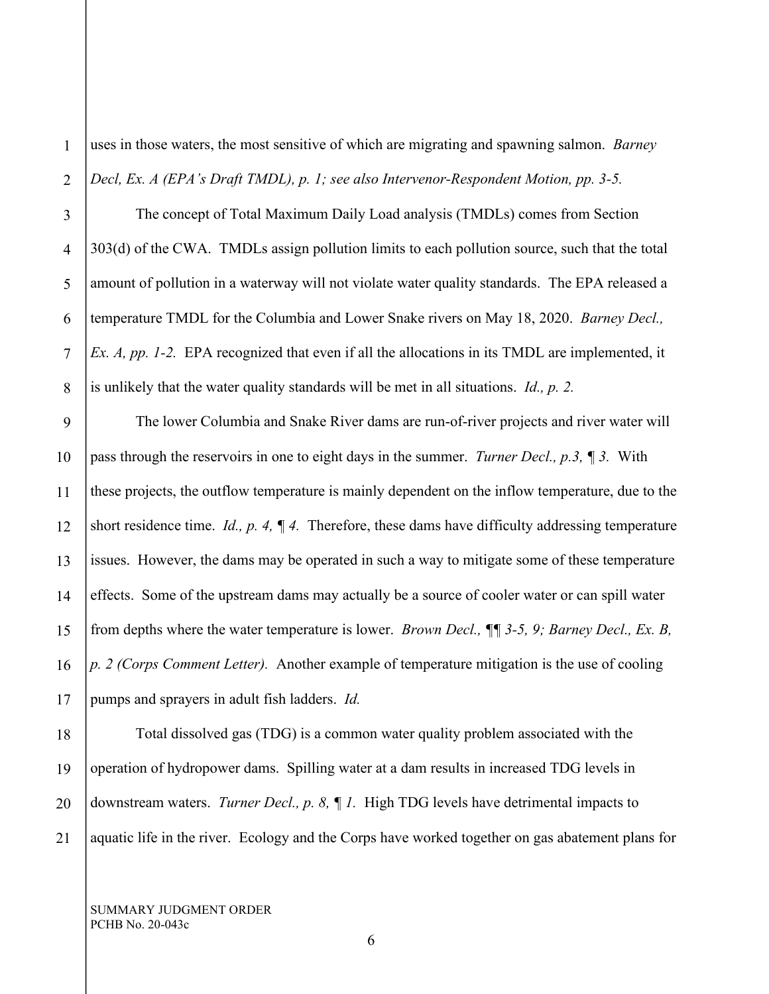1 2 uses in those waters, the most sensitive of which are migrating and spawning salmon. *Barney Decl, Ex. A (EPA's Draft TMDL), p. 1; see also Intervenor-Respondent Motion, pp. 3-5.*

3 4 5 6 7 8 The concept of Total Maximum Daily Load analysis (TMDLs) comes from Section 303(d) of the CWA. TMDLs assign pollution limits to each pollution source, such that the total amount of pollution in a waterway will not violate water quality standards. The EPA released a temperature TMDL for the Columbia and Lower Snake rivers on May 18, 2020. *Barney Decl., Ex. A, pp. 1-2.* EPA recognized that even if all the allocations in its TMDL are implemented, it is unlikely that the water quality standards will be met in all situations. *Id., p. 2.*

9 10 11 12 13 14 15 16 17 The lower Columbia and Snake River dams are run-of-river projects and river water will pass through the reservoirs in one to eight days in the summer. *Turner Decl., p.3, ¶ 3.* With these projects, the outflow temperature is mainly dependent on the inflow temperature, due to the short residence time. *Id., p. 4, ¶ 4.* Therefore, these dams have difficulty addressing temperature issues. However, the dams may be operated in such a way to mitigate some of these temperature effects. Some of the upstream dams may actually be a source of cooler water or can spill water from depths where the water temperature is lower. *Brown Decl., ¶¶ 3-5, 9; Barney Decl., Ex. B, p. 2 (Corps Comment Letter).* Another example of temperature mitigation is the use of cooling pumps and sprayers in adult fish ladders. *Id.*

18 19 20 21 Total dissolved gas (TDG) is a common water quality problem associated with the operation of hydropower dams. Spilling water at a dam results in increased TDG levels in downstream waters. *Turner Decl., p. 8, ¶ 1.* High TDG levels have detrimental impacts to aquatic life in the river. Ecology and the Corps have worked together on gas abatement plans for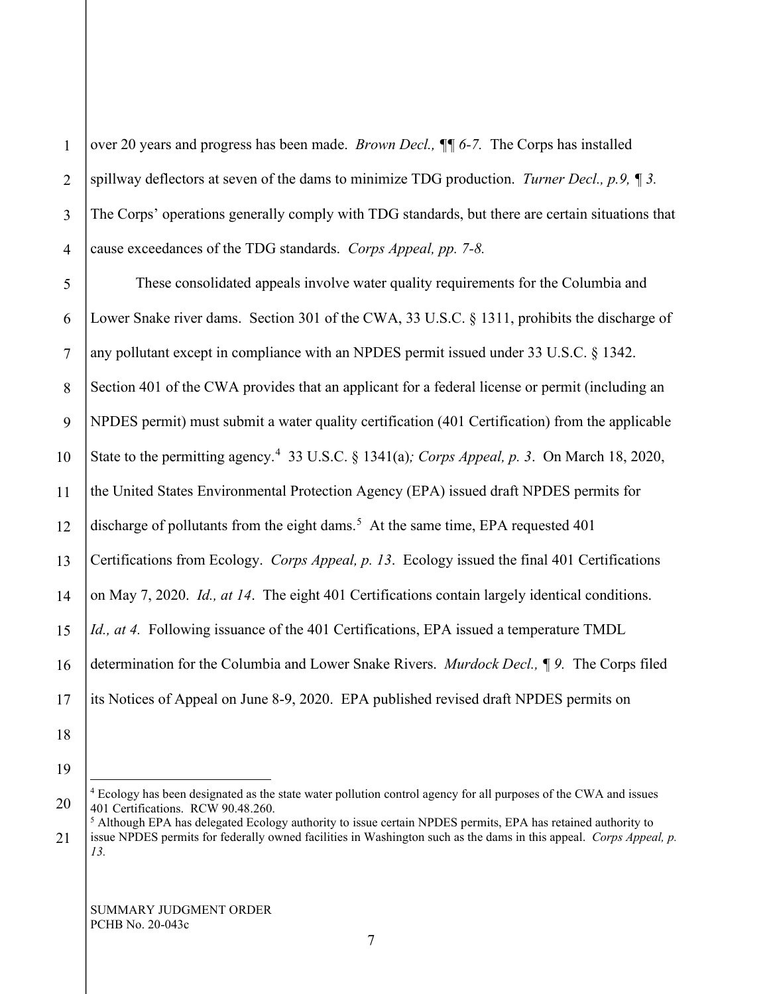1 2 3 4 5 6 7 8 9 10 11 12 13 14 15 16 17 18 19 over 20 years and progress has been made. *Brown Decl., ¶¶ 6-7.* The Corps has installed spillway deflectors at seven of the dams to minimize TDG production. *Turner Decl., p.9, ¶ 3.* The Corps' operations generally comply with TDG standards, but there are certain situations that cause exceedances of the TDG standards. *Corps Appeal, pp. 7-8.* These consolidated appeals involve water quality requirements for the Columbia and Lower Snake river dams. Section 301 of the CWA, 33 U.S.C. § 1311, prohibits the discharge of any pollutant except in compliance with an NPDES permit issued under 33 U.S.C. § 1342. Section 401 of the CWA provides that an applicant for a federal license or permit (including an NPDES permit) must submit a water quality certification (401 Certification) from the applicable State to the permitting agency.[4](#page-6-0) 33 U.S.C. § 1341(a)*; Corps Appeal, p. 3*. On March 18, 2020, the United States Environmental Protection Agency (EPA) issued draft NPDES permits for discharge of pollutants from the eight dams.<sup>[5](#page-6-1)</sup> At the same time, EPA requested 401 Certifications from Ecology. *Corps Appeal, p. 13*. Ecology issued the final 401 Certifications on May 7, 2020. *Id., at 14*. The eight 401 Certifications contain largely identical conditions. *Id., at 4.* Following issuance of the 401 Certifications, EPA issued a temperature TMDL determination for the Columbia and Lower Snake Rivers. *Murdock Decl., ¶ 9.* The Corps filed its Notices of Appeal on June 8-9, 2020. EPA published revised draft NPDES permits on

<span id="page-6-0"></span><sup>20</sup> <sup>4</sup> Ecology has been designated as the state water pollution control agency for all purposes of the CWA and issues 401 Certifications. RCW 90.48.260.

<span id="page-6-1"></span><sup>21</sup> <sup>5</sup> Although EPA has delegated Ecology authority to issue certain NPDES permits, EPA has retained authority to issue NPDES permits for federally owned facilities in Washington such as the dams in this appeal. *Corps Appeal, p. 13.*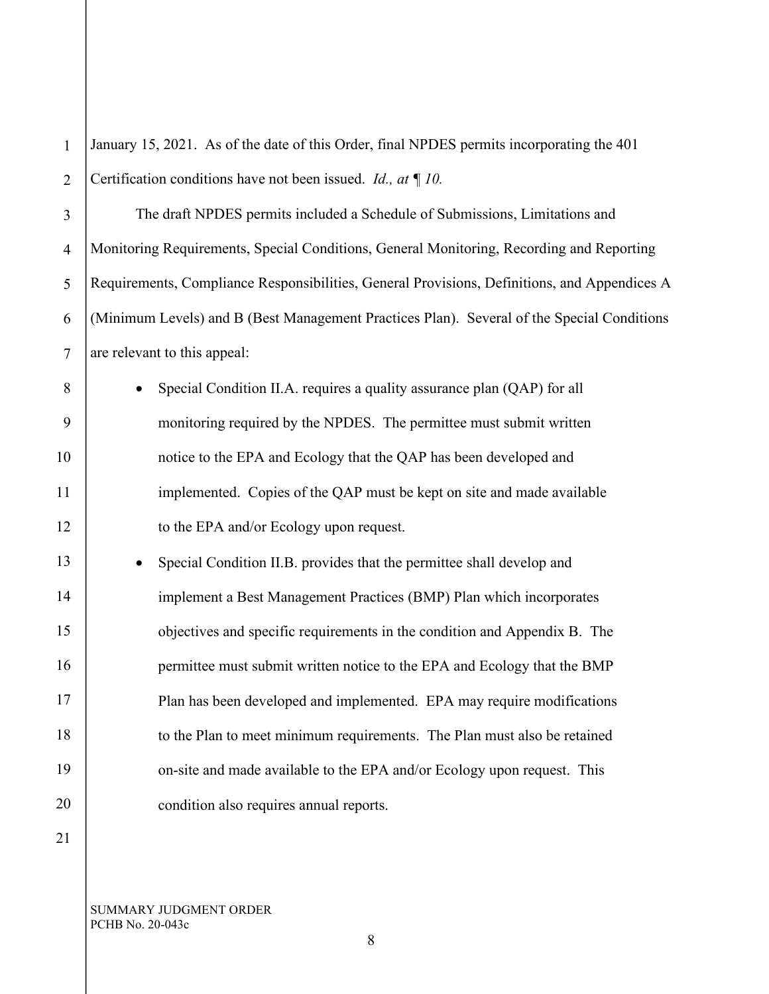| $\mathbf{1}$   | January 15, 2021. As of the date of this Order, final NPDES permits incorporating the 401    |  |
|----------------|----------------------------------------------------------------------------------------------|--|
| $\overline{2}$ | Certification conditions have not been issued. <i>Id., at</i> $\P$ 10.                       |  |
| $\overline{3}$ | The draft NPDES permits included a Schedule of Submissions, Limitations and                  |  |
| $\overline{4}$ | Monitoring Requirements, Special Conditions, General Monitoring, Recording and Reporting     |  |
| 5              | Requirements, Compliance Responsibilities, General Provisions, Definitions, and Appendices A |  |
| 6              | (Minimum Levels) and B (Best Management Practices Plan). Several of the Special Conditions   |  |
| $\tau$         | are relevant to this appeal:                                                                 |  |
| 8              | Special Condition II.A. requires a quality assurance plan (QAP) for all<br>$\bullet$         |  |
| 9              | monitoring required by the NPDES. The permittee must submit written                          |  |
| 10             | notice to the EPA and Ecology that the QAP has been developed and                            |  |
| 11             | implemented. Copies of the QAP must be kept on site and made available                       |  |
| 12             | to the EPA and/or Ecology upon request.                                                      |  |
| 13             | Special Condition II.B. provides that the permittee shall develop and<br>$\bullet$           |  |
| 14             | implement a Best Management Practices (BMP) Plan which incorporates                          |  |
| 15             | objectives and specific requirements in the condition and Appendix B. The                    |  |
| 16             | permittee must submit written notice to the EPA and Ecology that the BMP                     |  |
| 17             | Plan has been developed and implemented. EPA may require modifications                       |  |
| 18             | to the Plan to meet minimum requirements. The Plan must also be retained                     |  |
| 19             | on-site and made available to the EPA and/or Ecology upon request. This                      |  |
| 20             | condition also requires annual reports.                                                      |  |
| 21             |                                                                                              |  |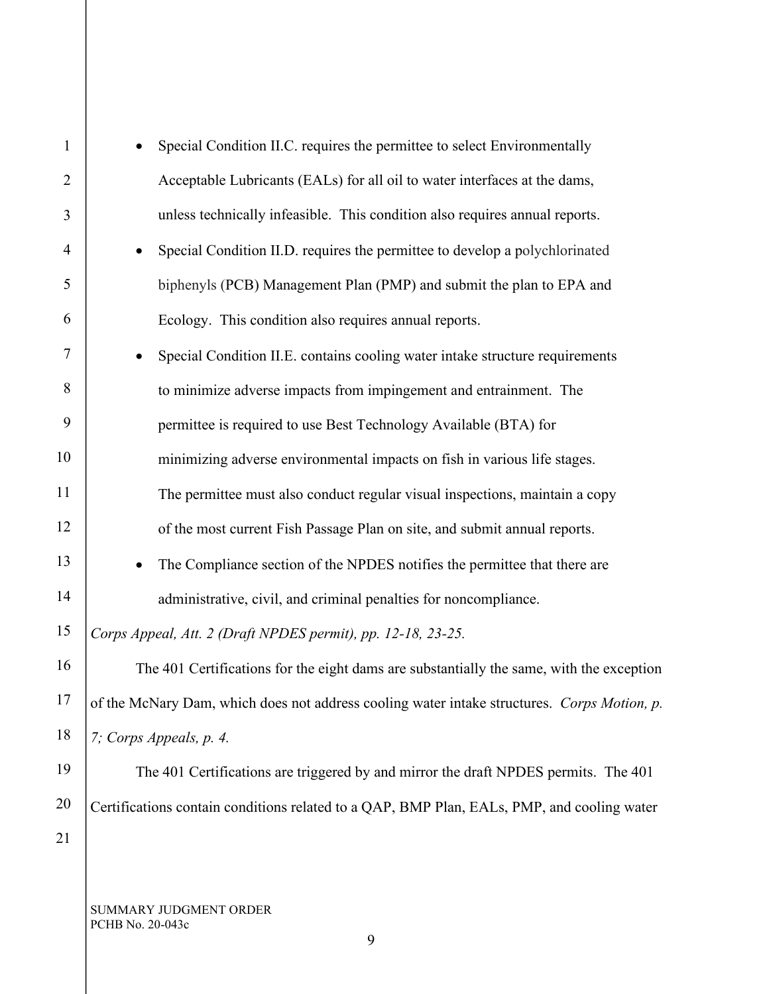| $\mathbf{1}$   | Special Condition II.C. requires the permittee to select Environmentally                    |                                                                                            |  |
|----------------|---------------------------------------------------------------------------------------------|--------------------------------------------------------------------------------------------|--|
| $\overline{2}$ | Acceptable Lubricants (EALs) for all oil to water interfaces at the dams,                   |                                                                                            |  |
| 3              | unless technically infeasible. This condition also requires annual reports.                 |                                                                                            |  |
| 4              | Special Condition II.D. requires the permittee to develop a polychlorinated                 |                                                                                            |  |
| 5              | biphenyls (PCB) Management Plan (PMP) and submit the plan to EPA and                        |                                                                                            |  |
| 6              | Ecology. This condition also requires annual reports.                                       |                                                                                            |  |
| $\tau$         | Special Condition II.E. contains cooling water intake structure requirements<br>$\bullet$   |                                                                                            |  |
| 8              | to minimize adverse impacts from impingement and entrainment. The                           |                                                                                            |  |
| 9              | permittee is required to use Best Technology Available (BTA) for                            |                                                                                            |  |
| 10             | minimizing adverse environmental impacts on fish in various life stages.                    |                                                                                            |  |
| 11             | The permittee must also conduct regular visual inspections, maintain a copy                 |                                                                                            |  |
| 12             | of the most current Fish Passage Plan on site, and submit annual reports.                   |                                                                                            |  |
| 13             | The Compliance section of the NPDES notifies the permittee that there are<br>$\bullet$      |                                                                                            |  |
| 14             | administrative, civil, and criminal penalties for noncompliance.                            |                                                                                            |  |
| 15             | Corps Appeal, Att. 2 (Draft NPDES permit), pp. 12-18, 23-25.                                |                                                                                            |  |
| 16             | The 401 Certifications for the eight dams are substantially the same, with the exception    |                                                                                            |  |
| 17             | of the McNary Dam, which does not address cooling water intake structures. Corps Motion, p. |                                                                                            |  |
| 18             | 7; Corps Appeals, p. 4.                                                                     |                                                                                            |  |
| 19             | The 401 Certifications are triggered by and mirror the draft NPDES permits. The 401         |                                                                                            |  |
| 20             |                                                                                             | Certifications contain conditions related to a QAP, BMP Plan, EALs, PMP, and cooling water |  |
| 21             |                                                                                             |                                                                                            |  |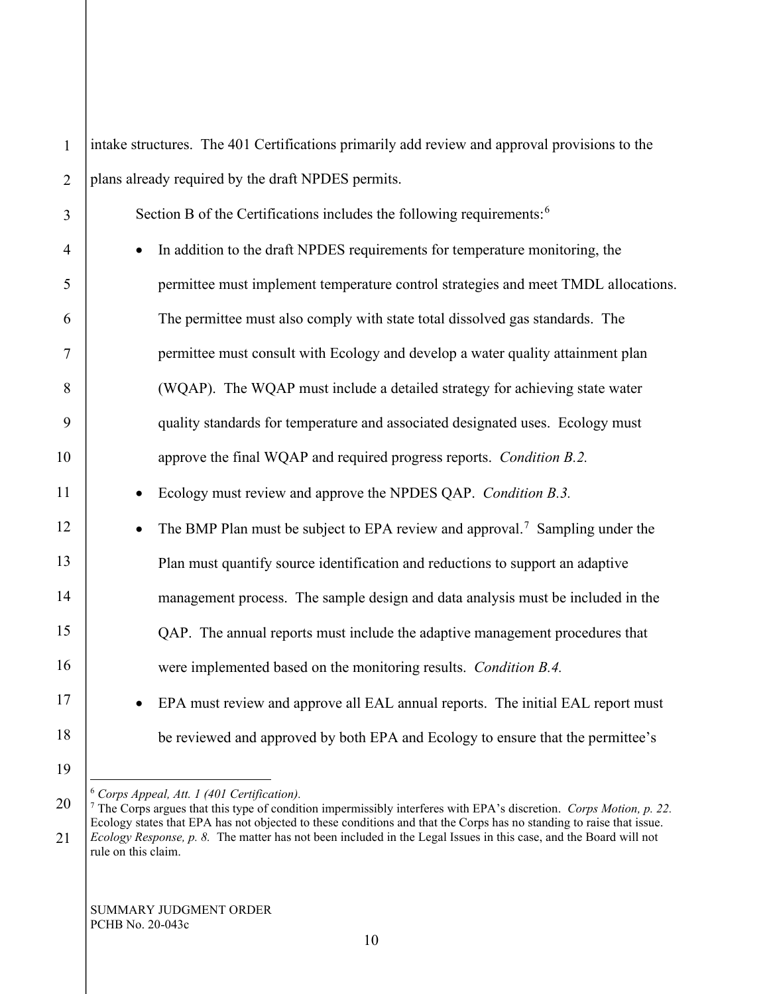| $\mathbf{1}$   | intake structures. The 401 Certifications primarily add review and approval provisions to the                                                                                          |  |
|----------------|----------------------------------------------------------------------------------------------------------------------------------------------------------------------------------------|--|
| $\overline{2}$ | plans already required by the draft NPDES permits.                                                                                                                                     |  |
| 3              | Section B of the Certifications includes the following requirements: <sup>6</sup>                                                                                                      |  |
| $\overline{4}$ | In addition to the draft NPDES requirements for temperature monitoring, the<br>$\bullet$                                                                                               |  |
| 5              | permittee must implement temperature control strategies and meet TMDL allocations.                                                                                                     |  |
| 6              | The permittee must also comply with state total dissolved gas standards. The                                                                                                           |  |
| 7              | permittee must consult with Ecology and develop a water quality attainment plan                                                                                                        |  |
| 8              | (WQAP). The WQAP must include a detailed strategy for achieving state water                                                                                                            |  |
| 9              | quality standards for temperature and associated designated uses. Ecology must                                                                                                         |  |
| 10             | approve the final WQAP and required progress reports. Condition B.2.                                                                                                                   |  |
| 11             | Ecology must review and approve the NPDES QAP. Condition B.3.                                                                                                                          |  |
| 12             | The BMP Plan must be subject to EPA review and approval. <sup>7</sup> Sampling under the                                                                                               |  |
| 13             | Plan must quantify source identification and reductions to support an adaptive                                                                                                         |  |
| 14             | management process. The sample design and data analysis must be included in the                                                                                                        |  |
| 15             | QAP. The annual reports must include the adaptive management procedures that                                                                                                           |  |
| 16             | were implemented based on the monitoring results. Condition B.4.                                                                                                                       |  |
| 17             | EPA must review and approve all EAL annual reports. The initial EAL report must                                                                                                        |  |
| 18             | be reviewed and approved by both EPA and Ecology to ensure that the permittee's                                                                                                        |  |
| 19             |                                                                                                                                                                                        |  |
| 20             | $6$ Corps Appeal, Att. 1 (401 Certification).<br><sup>7</sup> The Corps argues that this type of condition impermissibly interferes with EPA's discretion. <i>Corps Motion, p. 22.</i> |  |
|                | Ecology states that EPA has not objected to these conditions and that the Corps has no standing to raise that issue.                                                                   |  |

<span id="page-9-1"></span><span id="page-9-0"></span><sup>21</sup> *Ecology Response, p. 8.* The matter has not been included in the Legal Issues in this case, and the Board will not rule on this claim.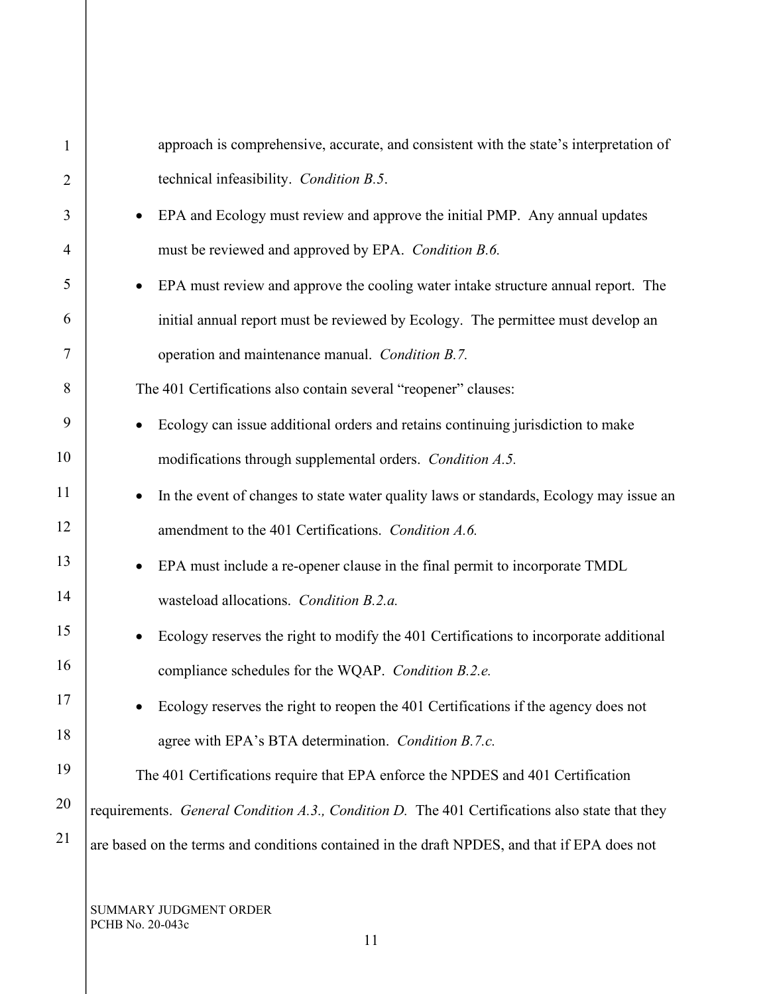| $\mathbf{1}$   | approach is comprehensive, accurate, and consistent with the state's interpretation of         |
|----------------|------------------------------------------------------------------------------------------------|
| $\overline{2}$ | technical infeasibility. Condition B.5.                                                        |
| 3              | EPA and Ecology must review and approve the initial PMP. Any annual updates                    |
| 4              | must be reviewed and approved by EPA. Condition B.6.                                           |
| 5              | EPA must review and approve the cooling water intake structure annual report. The              |
| 6              | initial annual report must be reviewed by Ecology. The permittee must develop an               |
| 7              | operation and maintenance manual. Condition B.7.                                               |
| 8              | The 401 Certifications also contain several "reopener" clauses:                                |
| 9              | Ecology can issue additional orders and retains continuing jurisdiction to make                |
| 10             | modifications through supplemental orders. Condition A.5.                                      |
| 11             | In the event of changes to state water quality laws or standards, Ecology may issue an         |
| 12             | amendment to the 401 Certifications. Condition A.6.                                            |
| 13             | EPA must include a re-opener clause in the final permit to incorporate TMDL                    |
| 14             | wasteload allocations. Condition B.2.a.                                                        |
| 15             | Ecology reserves the right to modify the 401 Certifications to incorporate additional          |
| 16             | compliance schedules for the WQAP. Condition B.2.e.                                            |
| 17             | Ecology reserves the right to reopen the 401 Certifications if the agency does not             |
| 18             | agree with EPA's BTA determination. Condition B.7.c.                                           |
| 19             | The 401 Certifications require that EPA enforce the NPDES and 401 Certification                |
| 20             | requirements. General Condition A.3., Condition D. The 401 Certifications also state that they |
| 21             | are based on the terms and conditions contained in the draft NPDES, and that if EPA does not   |
|                |                                                                                                |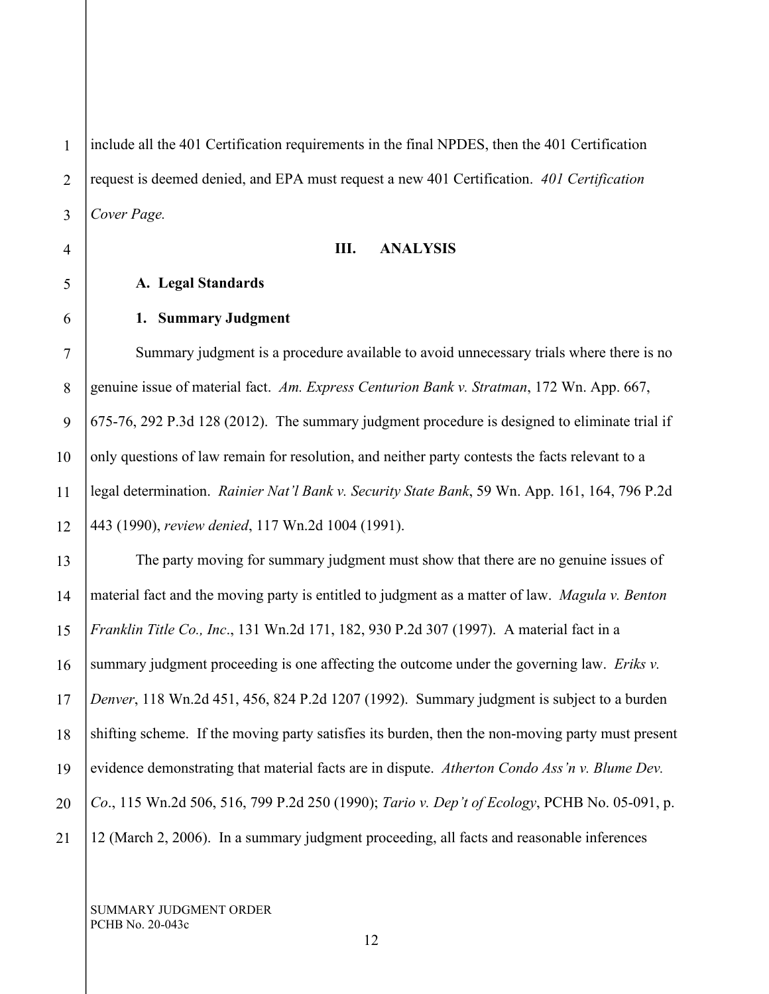1 2 include all the 401 Certification requirements in the final NPDES, then the 401 Certification request is deemed denied, and EPA must request a new 401 Certification. *401 Certification Cover Page.*

#### **III. ANALYSIS**

# **A. Legal Standards**

#### **1. Summary Judgment**

Summary judgment is a procedure available to avoid unnecessary trials where there is no genuine issue of material fact. *Am. Express Centurion Bank v. Stratman*, 172 Wn. App. 667, 675-76, 292 P.3d 128 (2012). The summary judgment procedure is designed to eliminate trial if only questions of law remain for resolution, and neither party contests the facts relevant to a legal determination. *Rainier Nat'l Bank v. Security State Bank*, 59 Wn. App. 161, 164, 796 P.2d 443 (1990), *review denied*, 117 Wn.2d 1004 (1991).

19 20 21 The party moving for summary judgment must show that there are no genuine issues of material fact and the moving party is entitled to judgment as a matter of law. *Magula v. Benton Franklin Title Co., Inc*., 131 Wn.2d 171, 182, 930 P.2d 307 (1997). A material fact in a summary judgment proceeding is one affecting the outcome under the governing law. *Eriks v. Denver*, 118 Wn.2d 451, 456, 824 P.2d 1207 (1992). Summary judgment is subject to a burden shifting scheme. If the moving party satisfies its burden, then the non-moving party must present evidence demonstrating that material facts are in dispute. *Atherton Condo Ass'n v. Blume Dev. Co*., 115 Wn.2d 506, 516, 799 P.2d 250 (1990); *Tario v. Dep't of Ecology*, PCHB No. 05-091, p. 12 (March 2, 2006). In a summary judgment proceeding, all facts and reasonable inferences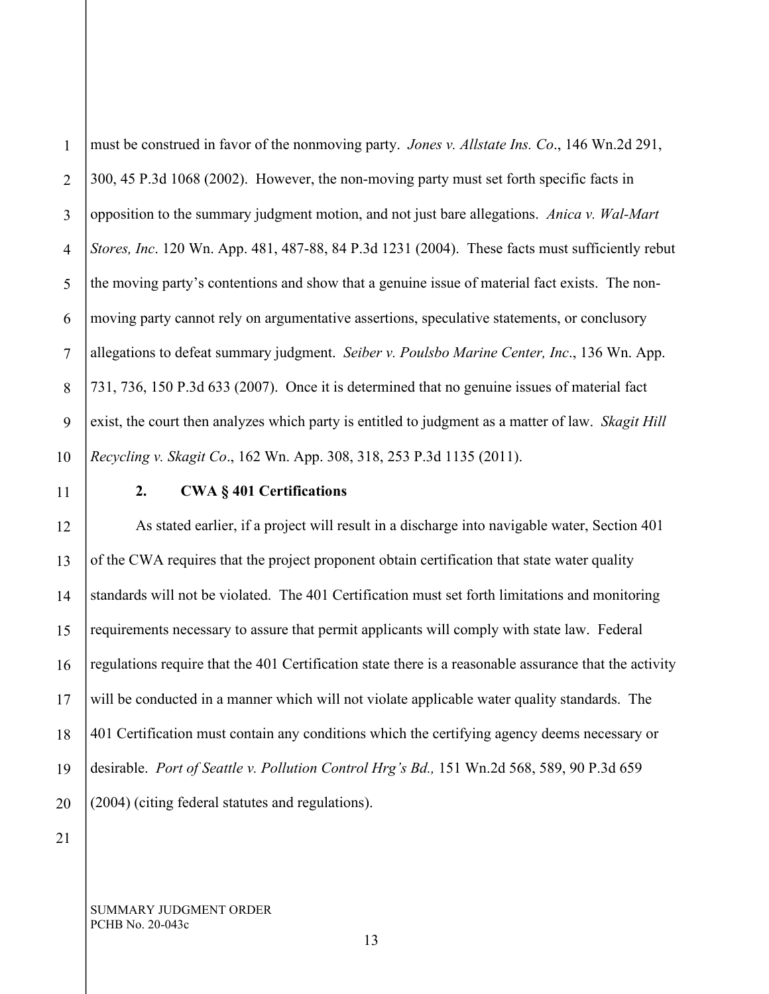1 2 3 4 must be construed in favor of the nonmoving party. *Jones v. Allstate Ins. Co*., 146 Wn.2d 291, 300, 45 P.3d 1068 (2002). However, the non-moving party must set forth specific facts in opposition to the summary judgment motion, and not just bare allegations. *Anica v. Wal-Mart Stores, Inc*. 120 Wn. App. 481, 487-88, 84 P.3d 1231 (2004). These facts must sufficiently rebut the moving party's contentions and show that a genuine issue of material fact exists. The nonmoving party cannot rely on argumentative assertions, speculative statements, or conclusory allegations to defeat summary judgment. *Seiber v. Poulsbo Marine Center, Inc*., 136 Wn. App. 731, 736, 150 P.3d 633 (2007). Once it is determined that no genuine issues of material fact exist, the court then analyzes which party is entitled to judgment as a matter of law. *Skagit Hill Recycling v. Skagit Co*., 162 Wn. App. 308, 318, 253 P.3d 1135 (2011).

# **2. CWA § 401 Certifications**

As stated earlier, if a project will result in a discharge into navigable water, Section 401 of the CWA requires that the project proponent obtain certification that state water quality standards will not be violated. The 401 Certification must set forth limitations and monitoring requirements necessary to assure that permit applicants will comply with state law. Federal regulations require that the 401 Certification state there is a reasonable assurance that the activity will be conducted in a manner which will not violate applicable water quality standards. The 401 Certification must contain any conditions which the certifying agency deems necessary or desirable. *Port of Seattle v. Pollution Control Hrg's Bd.,* 151 Wn.2d 568, 589, 90 P.3d 659 (2004) (citing federal statutes and regulations).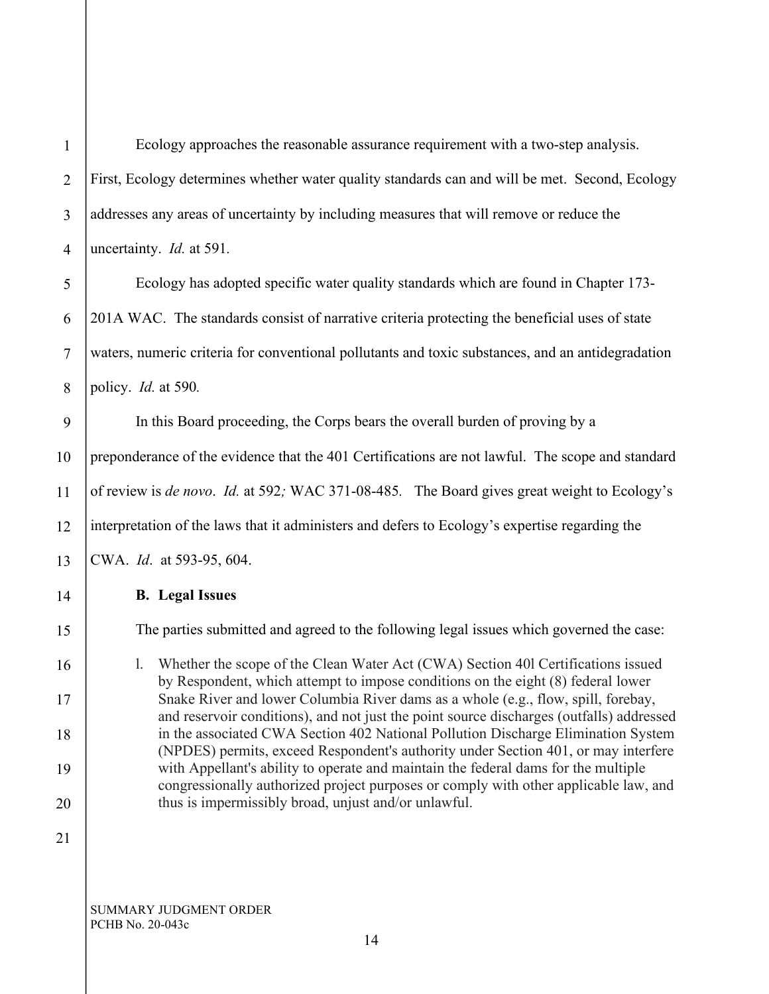| $\mathbf{1}$   | Ecology approaches the reasonable assurance requirement with a two-step analysis.                                                                                             |  |
|----------------|-------------------------------------------------------------------------------------------------------------------------------------------------------------------------------|--|
| $\overline{2}$ | First, Ecology determines whether water quality standards can and will be met. Second, Ecology                                                                                |  |
| 3              | addresses any areas of uncertainty by including measures that will remove or reduce the                                                                                       |  |
| $\overline{4}$ | uncertainty. <i>Id.</i> at 591.                                                                                                                                               |  |
| 5              | Ecology has adopted specific water quality standards which are found in Chapter 173-                                                                                          |  |
| 6              | 201A WAC. The standards consist of narrative criteria protecting the beneficial uses of state                                                                                 |  |
| $\tau$         | waters, numeric criteria for conventional pollutants and toxic substances, and an antidegradation                                                                             |  |
| 8              | policy. <i>Id.</i> at 590.                                                                                                                                                    |  |
| 9              | In this Board proceeding, the Corps bears the overall burden of proving by a                                                                                                  |  |
| 10             | preponderance of the evidence that the 401 Certifications are not lawful. The scope and standard                                                                              |  |
| 11             | of review is de novo. Id. at 592; WAC 371-08-485. The Board gives great weight to Ecology's                                                                                   |  |
| 12             | interpretation of the laws that it administers and defers to Ecology's expertise regarding the                                                                                |  |
| 13             | CWA. Id. at 593-95, 604.                                                                                                                                                      |  |
| 14             | <b>B.</b> Legal Issues                                                                                                                                                        |  |
| 15             | The parties submitted and agreed to the following legal issues which governed the case:                                                                                       |  |
| 16             | Whether the scope of the Clean Water Act (CWA) Section 401 Certifications issued<br>1.                                                                                        |  |
| 17             | by Respondent, which attempt to impose conditions on the eight (8) federal lower<br>Snake River and lower Columbia River dams as a whole (e.g., flow, spill, forebay,         |  |
| 18             | and reservoir conditions), and not just the point source discharges (outfalls) addressed<br>in the associated CWA Section 402 National Pollution Discharge Elimination System |  |
| 19             | (NPDES) permits, exceed Respondent's authority under Section 401, or may interfere<br>with Appellant's ability to operate and maintain the federal dams for the multiple      |  |
| 20             | congressionally authorized project purposes or comply with other applicable law, and<br>thus is impermissibly broad, unjust and/or unlawful.                                  |  |
| 21             |                                                                                                                                                                               |  |
|                |                                                                                                                                                                               |  |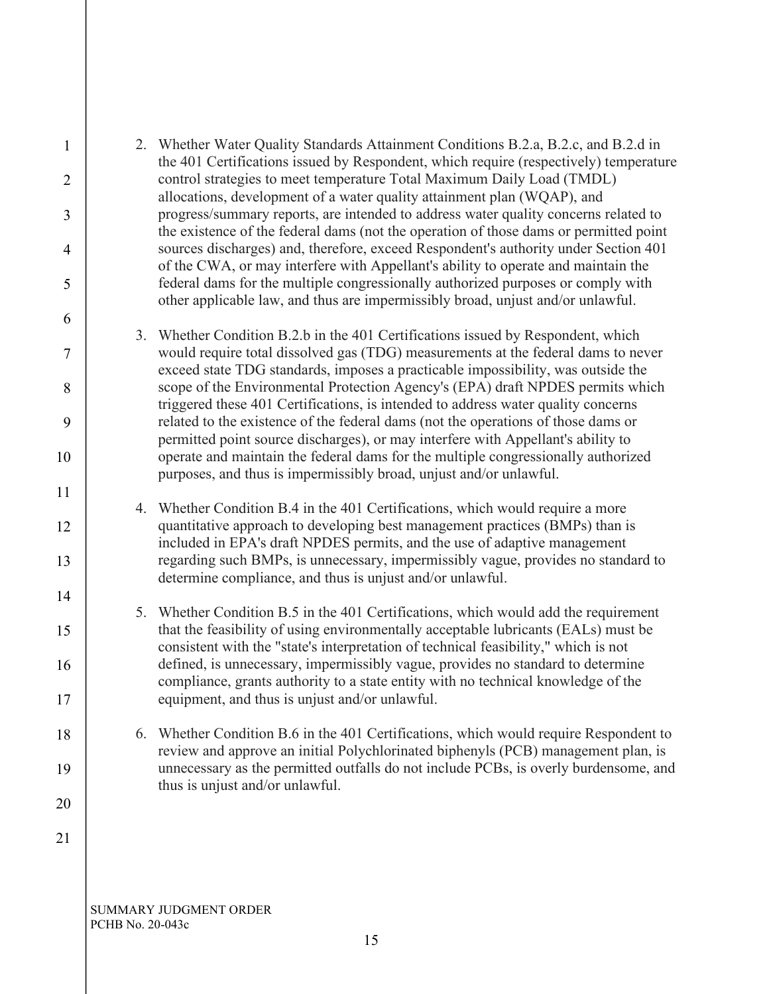| $\mathbf{1}$   |    | 2. Whether Water Quality Standards Attainment Conditions B.2.a, B.2.c, and B.2.d in<br>the 401 Certifications issued by Respondent, which require (respectively) temperature |
|----------------|----|------------------------------------------------------------------------------------------------------------------------------------------------------------------------------|
| $\overline{2}$ |    | control strategies to meet temperature Total Maximum Daily Load (TMDL)                                                                                                       |
| 3              |    | allocations, development of a water quality attainment plan (WQAP), and<br>progress/summary reports, are intended to address water quality concerns related to               |
| $\overline{4}$ |    | the existence of the federal dams (not the operation of those dams or permitted point<br>sources discharges) and, therefore, exceed Respondent's authority under Section 401 |
|                |    | of the CWA, or may interfere with Appellant's ability to operate and maintain the                                                                                            |
| 5              |    | federal dams for the multiple congressionally authorized purposes or comply with<br>other applicable law, and thus are impermissibly broad, unjust and/or unlawful.          |
| 6              | 3. | Whether Condition B.2.b in the 401 Certifications issued by Respondent, which                                                                                                |
| $\tau$         |    | would require total dissolved gas (TDG) measurements at the federal dams to never<br>exceed state TDG standards, imposes a practicable impossibility, was outside the        |
| 8              |    | scope of the Environmental Protection Agency's (EPA) draft NPDES permits which<br>triggered these 401 Certifications, is intended to address water quality concerns          |
| 9              |    | related to the existence of the federal dams (not the operations of those dams or<br>permitted point source discharges), or may interfere with Appellant's ability to        |
| 10             |    | operate and maintain the federal dams for the multiple congressionally authorized<br>purposes, and thus is impermissibly broad, unjust and/or unlawful.                      |
| 11             |    |                                                                                                                                                                              |
| 12             | 4. | Whether Condition B.4 in the 401 Certifications, which would require a more<br>quantitative approach to developing best management practices (BMPs) than is                  |
| 13             |    | included in EPA's draft NPDES permits, and the use of adaptive management<br>regarding such BMPs, is unnecessary, impermissibly vague, provides no standard to               |
|                |    | determine compliance, and thus is unjust and/or unlawful.                                                                                                                    |
| 14             |    | 5. Whether Condition B.5 in the 401 Certifications, which would add the requirement                                                                                          |
| 15             |    | that the feasibility of using environmentally acceptable lubricants (EALs) must be<br>consistent with the "state's interpretation of technical feasibility," which is not    |
| 16             |    | defined, is unnecessary, impermissibly vague, provides no standard to determine                                                                                              |
| 17             |    | compliance, grants authority to a state entity with no technical knowledge of the<br>equipment, and thus is unjust and/or unlawful.                                          |
| 18             | 6. | Whether Condition B.6 in the 401 Certifications, which would require Respondent to<br>review and approve an initial Polychlorinated biphenyls (PCB) management plan, is      |
| 19             |    | unnecessary as the permitted outfalls do not include PCBs, is overly burdensome, and<br>thus is unjust and/or unlawful.                                                      |
| 20             |    |                                                                                                                                                                              |
| 21             |    |                                                                                                                                                                              |
|                |    |                                                                                                                                                                              |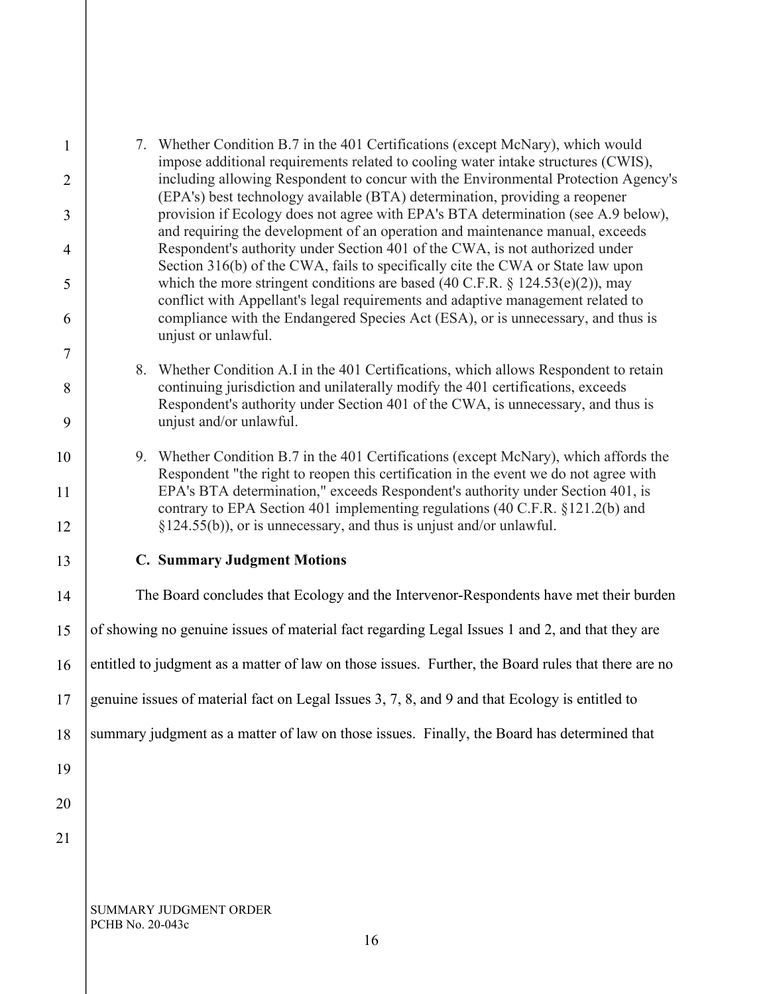| $\mathbf{1}$<br>$\overline{2}$ |                                                                                                | 7. Whether Condition B.7 in the 401 Certifications (except McNary), which would<br>impose additional requirements related to cooling water intake structures (CWIS),<br>including allowing Respondent to concur with the Environmental Protection Agency's      |
|--------------------------------|------------------------------------------------------------------------------------------------|-----------------------------------------------------------------------------------------------------------------------------------------------------------------------------------------------------------------------------------------------------------------|
| 3                              |                                                                                                | (EPA's) best technology available (BTA) determination, providing a reopener<br>provision if Ecology does not agree with EPA's BTA determination (see A.9 below),                                                                                                |
| $\overline{4}$                 |                                                                                                | and requiring the development of an operation and maintenance manual, exceeds<br>Respondent's authority under Section 401 of the CWA, is not authorized under<br>Section 316(b) of the CWA, fails to specifically cite the CWA or State law upon                |
| 5                              |                                                                                                | which the more stringent conditions are based (40 C.F.R. $\S$ 124.53(e)(2)), may<br>conflict with Appellant's legal requirements and adaptive management related to                                                                                             |
| 6                              |                                                                                                | compliance with the Endangered Species Act (ESA), or is unnecessary, and thus is<br>unjust or unlawful.                                                                                                                                                         |
| $\overline{7}$                 | 8.                                                                                             | Whether Condition A.I in the 401 Certifications, which allows Respondent to retain                                                                                                                                                                              |
| 8<br>9                         |                                                                                                | continuing jurisdiction and unilaterally modify the 401 certifications, exceeds<br>Respondent's authority under Section 401 of the CWA, is unnecessary, and thus is<br>unjust and/or unlawful.                                                                  |
|                                |                                                                                                |                                                                                                                                                                                                                                                                 |
| 10<br>11                       |                                                                                                | 9. Whether Condition B.7 in the 401 Certifications (except McNary), which affords the<br>Respondent "the right to reopen this certification in the event we do not agree with<br>EPA's BTA determination," exceeds Respondent's authority under Section 401, is |
| 12                             |                                                                                                | contrary to EPA Section 401 implementing regulations (40 C.F.R. §121.2(b) and<br>$\S 124.55(b)$ , or is unnecessary, and thus is unjust and/or unlawful.                                                                                                        |
| 13                             |                                                                                                | <b>C. Summary Judgment Motions</b>                                                                                                                                                                                                                              |
| 14                             |                                                                                                | The Board concludes that Ecology and the Intervenor-Respondents have met their burden                                                                                                                                                                           |
| 15                             |                                                                                                | of showing no genuine issues of material fact regarding Legal Issues 1 and 2, and that they are                                                                                                                                                                 |
| 16                             |                                                                                                | entitled to judgment as a matter of law on those issues. Further, the Board rules that there are no                                                                                                                                                             |
| 17                             | genuine issues of material fact on Legal Issues 3, 7, 8, and 9 and that Ecology is entitled to |                                                                                                                                                                                                                                                                 |
| 18                             |                                                                                                | summary judgment as a matter of law on those issues. Finally, the Board has determined that                                                                                                                                                                     |
| 19                             |                                                                                                |                                                                                                                                                                                                                                                                 |
| 20                             |                                                                                                |                                                                                                                                                                                                                                                                 |
| 21                             |                                                                                                |                                                                                                                                                                                                                                                                 |
|                                |                                                                                                |                                                                                                                                                                                                                                                                 |
|                                |                                                                                                | SUMMARY JUDGMENT ORDER                                                                                                                                                                                                                                          |

PCHB No. 20-043c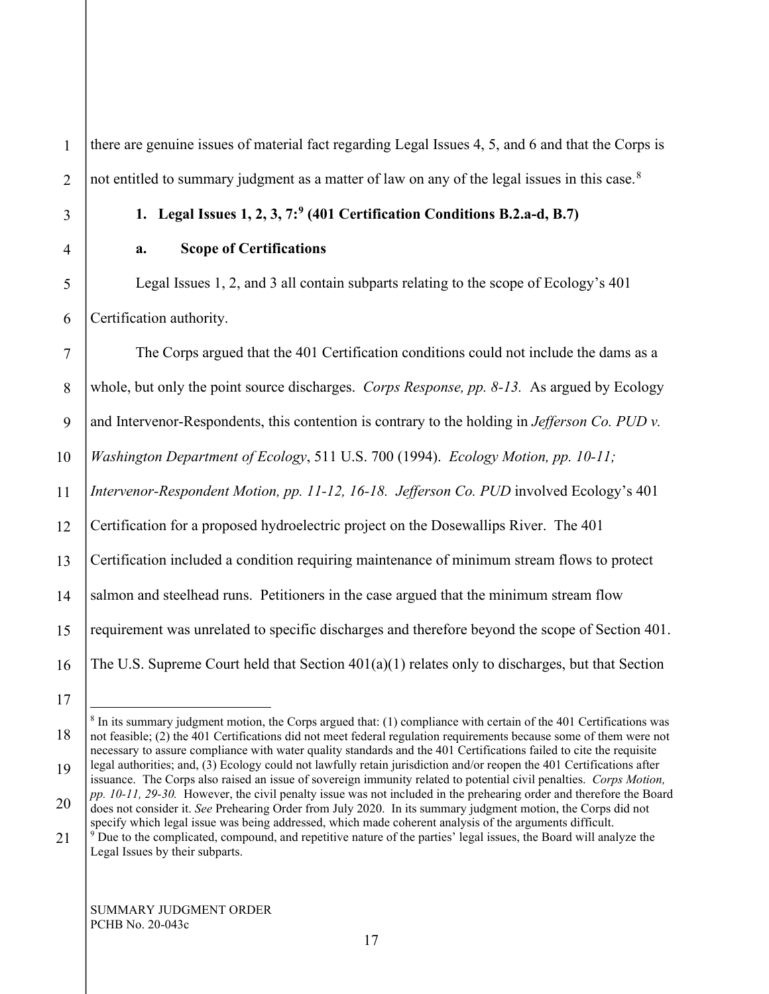1

2

there are genuine issues of material fact regarding Legal Issues 4, 5, and 6 and that the Corps is not entitled to summary judgment as a matter of law on any of the legal issues in this case. $8$ 

3

4

5

6

# **1. Legal Issues 1, 2, 3, 7:[9](#page-16-1) (401 Certification Conditions B.2.a-d, B.7)**

# **a. Scope of Certifications**

Legal Issues 1, 2, and 3 all contain subparts relating to the scope of Ecology's 401 Certification authority.

7 8 9 10 11 12 13 14 15 16 The Corps argued that the 401 Certification conditions could not include the dams as a whole, but only the point source discharges. *Corps Response, pp. 8-13.* As argued by Ecology and Intervenor-Respondents, this contention is contrary to the holding in *Jefferson Co. PUD v. Washington Department of Ecology*, 511 U.S. 700 (1994). *Ecology Motion, pp. 10-11; Intervenor-Respondent Motion, pp. 11-12, 16-18. Jefferson Co. PUD* involved Ecology's 401 Certification for a proposed hydroelectric project on the Dosewallips River. The 401 Certification included a condition requiring maintenance of minimum stream flows to protect salmon and steelhead runs. Petitioners in the case argued that the minimum stream flow requirement was unrelated to specific discharges and therefore beyond the scope of Section 401. The U.S. Supreme Court held that Section 401(a)(1) relates only to discharges, but that Section

<span id="page-16-0"></span>18

<sup>17</sup>

 $8$  In its summary judgment motion, the Corps argued that: (1) compliance with certain of the 401 Certifications was not feasible; (2) the 401 Certifications did not meet federal regulation requirements because some of them were not necessary to assure compliance with water quality standards and the 401 Certifications failed to cite the requisite legal authorities; and, (3) Ecology could not lawfully retain jurisdiction and/or reopen the 401 Certifications after

issuance. The Corps also raised an issue of sovereign immunity related to potential civil penalties. *Corps Motion, pp. 10-11, 29-30.* However, the civil penalty issue was not included in the prehearing order and therefore the Board

<sup>20</sup> does not consider it. *See* Prehearing Order from July 2020. In its summary judgment motion, the Corps did not specify which legal issue was being addressed, which made coherent analysis of the arguments difficult.

<span id="page-16-1"></span><sup>21</sup>  $9^9$  Due to the complicated, compound, and repetitive nature of the parties' legal issues, the Board will analyze the Legal Issues by their subparts.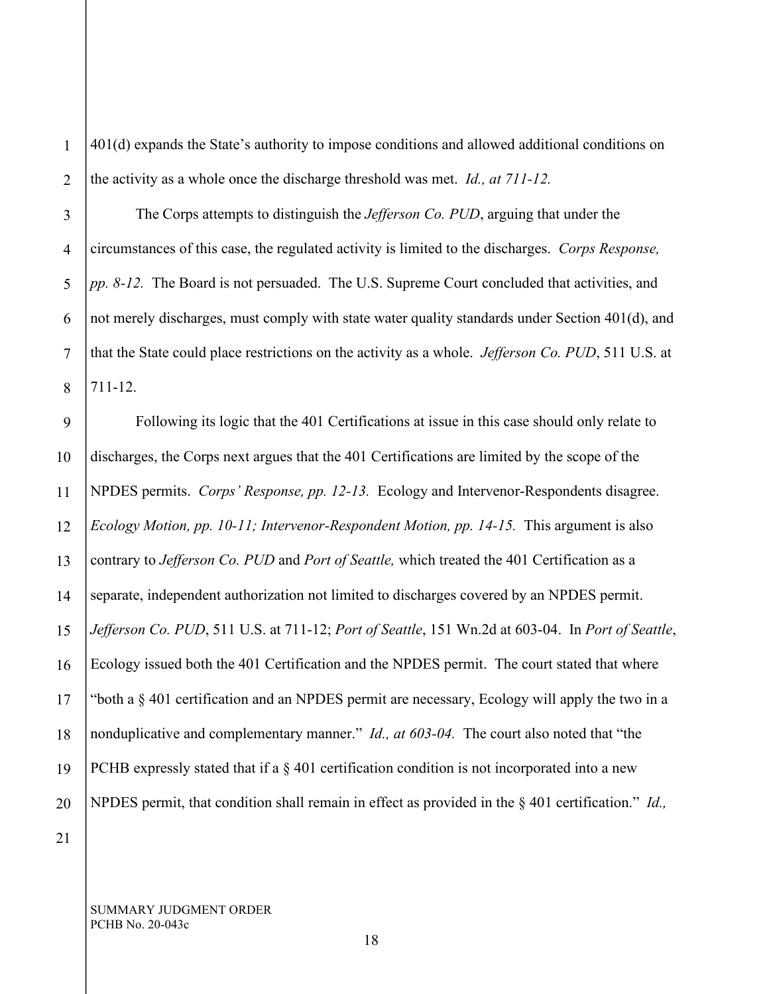1 2 401(d) expands the State's authority to impose conditions and allowed additional conditions on the activity as a whole once the discharge threshold was met. *Id., at 711-12.*

3 4 5 6 7 8 The Corps attempts to distinguish the *Jefferson Co. PUD*, arguing that under the circumstances of this case, the regulated activity is limited to the discharges. *Corps Response, pp. 8-12.* The Board is not persuaded. The U.S. Supreme Court concluded that activities, and not merely discharges, must comply with state water quality standards under Section 401(d), and that the State could place restrictions on the activity as a whole. *Jefferson Co. PUD*, 511 U.S. at 711-12.

9 10 11 12 13 14 15 16 17 18 19 20 Following its logic that the 401 Certifications at issue in this case should only relate to discharges, the Corps next argues that the 401 Certifications are limited by the scope of the NPDES permits. *Corps' Response, pp. 12-13.* Ecology and Intervenor-Respondents disagree. *Ecology Motion, pp. 10-11; Intervenor-Respondent Motion, pp. 14-15.* This argument is also contrary to *Jefferson Co. PUD* and *Port of Seattle,* which treated the 401 Certification as a separate, independent authorization not limited to discharges covered by an NPDES permit. *Jefferson Co. PUD*, 511 U.S. at 711-12; *Port of Seattle*, 151 Wn.2d at 603-04. In *Port of Seattle*, Ecology issued both the 401 Certification and the NPDES permit. The court stated that where "both a § 401 certification and an NPDES permit are necessary, Ecology will apply the two in a nonduplicative and complementary manner." *Id., at 603-04.* The court also noted that "the PCHB expressly stated that if a  $\S$  401 certification condition is not incorporated into a new NPDES permit, that condition shall remain in effect as provided in the § 401 certification." *Id.,*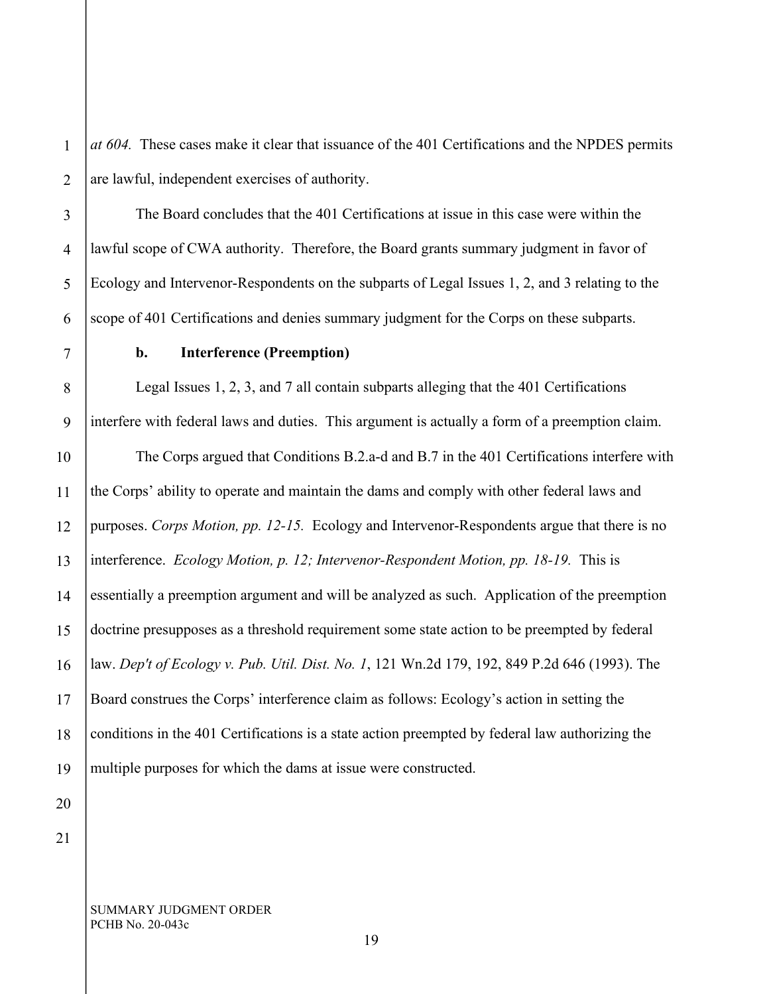1 2 *at 604.* These cases make it clear that issuance of the 401 Certifications and the NPDES permits are lawful, independent exercises of authority.

The Board concludes that the 401 Certifications at issue in this case were within the lawful scope of CWA authority. Therefore, the Board grants summary judgment in favor of Ecology and Intervenor-Respondents on the subparts of Legal Issues 1, 2, and 3 relating to the scope of 401 Certifications and denies summary judgment for the Corps on these subparts.

7

3

4

5

6

8

9

# **b. Interference (Preemption)**

Legal Issues 1, 2, 3, and 7 all contain subparts alleging that the 401 Certifications interfere with federal laws and duties. This argument is actually a form of a preemption claim.

10 11 12 13 14 15 16 17 18 19 The Corps argued that Conditions B.2.a-d and B.7 in the 401 Certifications interfere with the Corps' ability to operate and maintain the dams and comply with other federal laws and purposes. *Corps Motion, pp. 12-15.* Ecology and Intervenor-Respondents argue that there is no interference. *Ecology Motion, p. 12; Intervenor-Respondent Motion, pp. 18-19.* This is essentially a preemption argument and will be analyzed as such. Application of the preemption doctrine presupposes as a threshold requirement some state action to be preempted by federal law. *Dep't of Ecology v. Pub. Util. Dist. No. 1*, 121 Wn.2d 179, 192, 849 P.2d 646 (1993). The Board construes the Corps' interference claim as follows: Ecology's action in setting the conditions in the 401 Certifications is a state action preempted by federal law authorizing the multiple purposes for which the dams at issue were constructed.

21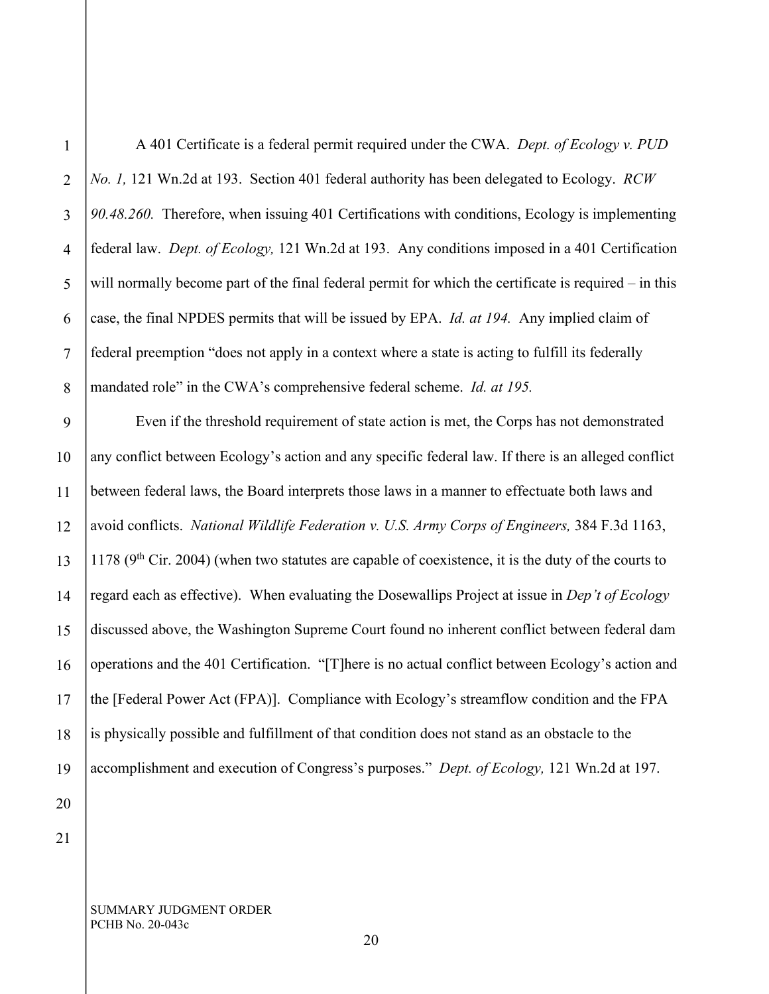1 2 3 A 401 Certificate is a federal permit required under the CWA. *Dept. of Ecology v. PUD No. 1,* 121 Wn.2d at 193. Section 401 federal authority has been delegated to Ecology. *RCW 90.48.260.* Therefore, when issuing 401 Certifications with conditions, Ecology is implementing federal law. *Dept. of Ecology,* 121 Wn.2d at 193. Any conditions imposed in a 401 Certification will normally become part of the final federal permit for which the certificate is required – in this case, the final NPDES permits that will be issued by EPA. *Id. at 194.* Any implied claim of federal preemption "does not apply in a context where a state is acting to fulfill its federally mandated role" in the CWA's comprehensive federal scheme. *Id. at 195.*

Even if the threshold requirement of state action is met, the Corps has not demonstrated any conflict between Ecology's action and any specific federal law. If there is an alleged conflict between federal laws, the Board interprets those laws in a manner to effectuate both laws and avoid conflicts. *National Wildlife Federation v. U.S. Army Corps of Engineers,* 384 F.3d 1163,  $1178$  (9<sup>th</sup> Cir. 2004) (when two statutes are capable of coexistence, it is the duty of the courts to regard each as effective). When evaluating the Dosewallips Project at issue in *Dep't of Ecology*  discussed above, the Washington Supreme Court found no inherent conflict between federal dam operations and the 401 Certification. "[T]here is no actual conflict between Ecology's action and the [Federal Power Act (FPA)]. Compliance with Ecology's streamflow condition and the FPA is physically possible and fulfillment of that condition does not stand as an obstacle to the accomplishment and execution of Congress's purposes." *Dept. of Ecology,* 121 Wn.2d at 197.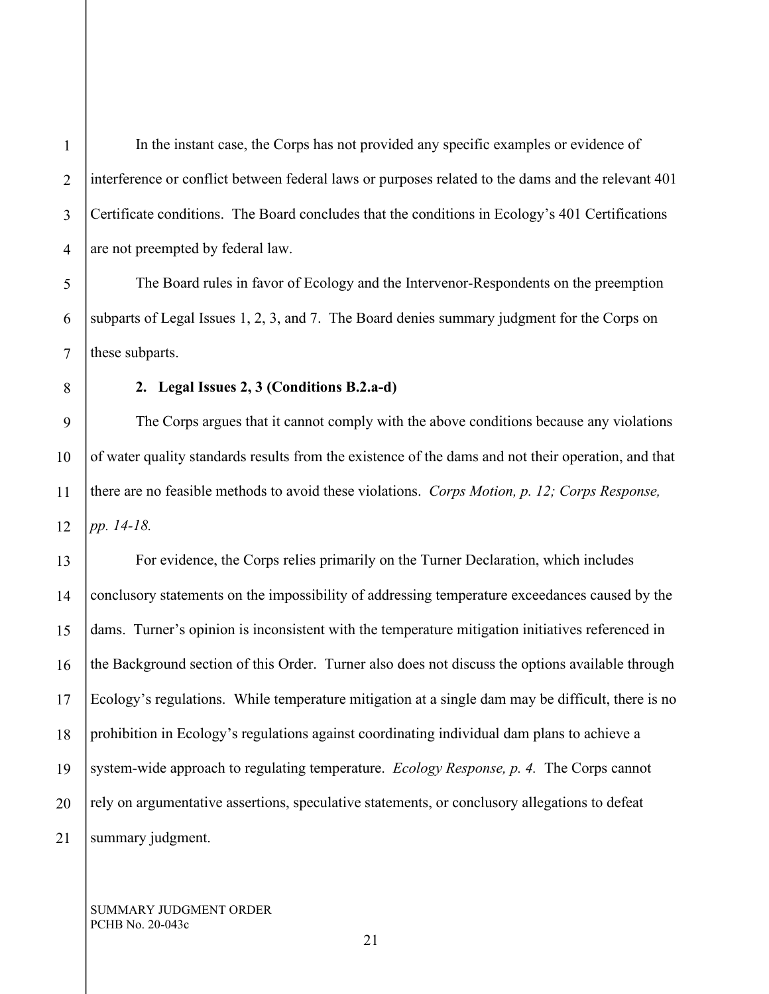4

5

6

7

8

1

In the instant case, the Corps has not provided any specific examples or evidence of interference or conflict between federal laws or purposes related to the dams and the relevant 401 Certificate conditions. The Board concludes that the conditions in Ecology's 401 Certifications are not preempted by federal law.

The Board rules in favor of Ecology and the Intervenor-Respondents on the preemption subparts of Legal Issues 1, 2, 3, and 7. The Board denies summary judgment for the Corps on these subparts.

# **2. Legal Issues 2, 3 (Conditions B.2.a-d)**

9 10 11 12 The Corps argues that it cannot comply with the above conditions because any violations of water quality standards results from the existence of the dams and not their operation, and that there are no feasible methods to avoid these violations. *Corps Motion, p. 12; Corps Response, pp. 14-18.*

13 14 15 16 17 18 19 20 21 For evidence, the Corps relies primarily on the Turner Declaration, which includes conclusory statements on the impossibility of addressing temperature exceedances caused by the dams. Turner's opinion is inconsistent with the temperature mitigation initiatives referenced in the Background section of this Order. Turner also does not discuss the options available through Ecology's regulations. While temperature mitigation at a single dam may be difficult, there is no prohibition in Ecology's regulations against coordinating individual dam plans to achieve a system-wide approach to regulating temperature. *Ecology Response, p. 4.* The Corps cannot rely on argumentative assertions, speculative statements, or conclusory allegations to defeat summary judgment.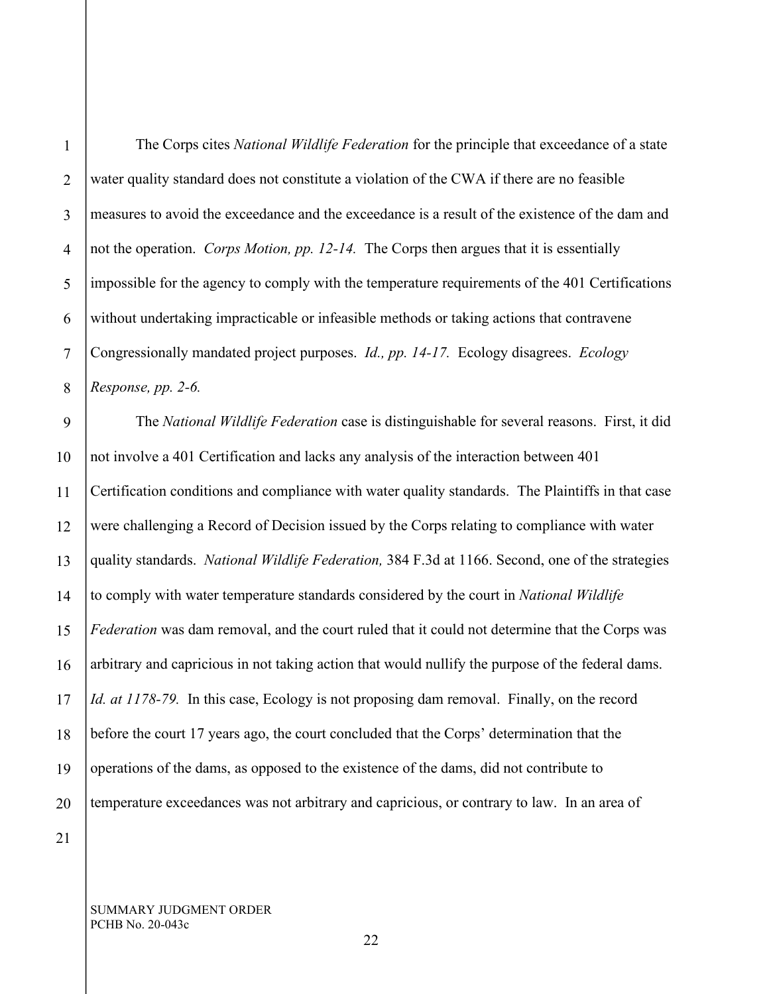1

2

3

4

The Corps cites *National Wildlife Federation* for the principle that exceedance of a state water quality standard does not constitute a violation of the CWA if there are no feasible measures to avoid the exceedance and the exceedance is a result of the existence of the dam and not the operation. *Corps Motion, pp. 12-14.* The Corps then argues that it is essentially impossible for the agency to comply with the temperature requirements of the 401 Certifications without undertaking impracticable or infeasible methods or taking actions that contravene Congressionally mandated project purposes. *Id., pp. 14-17.* Ecology disagrees. *Ecology Response, pp. 2-6.*

17 18 19 20 The *National Wildlife Federation* case is distinguishable for several reasons. First, it did not involve a 401 Certification and lacks any analysis of the interaction between 401 Certification conditions and compliance with water quality standards. The Plaintiffs in that case were challenging a Record of Decision issued by the Corps relating to compliance with water quality standards. *National Wildlife Federation,* 384 F.3d at 1166. Second, one of the strategies to comply with water temperature standards considered by the court in *National Wildlife Federation* was dam removal, and the court ruled that it could not determine that the Corps was arbitrary and capricious in not taking action that would nullify the purpose of the federal dams. *Id. at 1178-79.* In this case, Ecology is not proposing dam removal. Finally, on the record before the court 17 years ago, the court concluded that the Corps' determination that the operations of the dams, as opposed to the existence of the dams, did not contribute to temperature exceedances was not arbitrary and capricious, or contrary to law. In an area of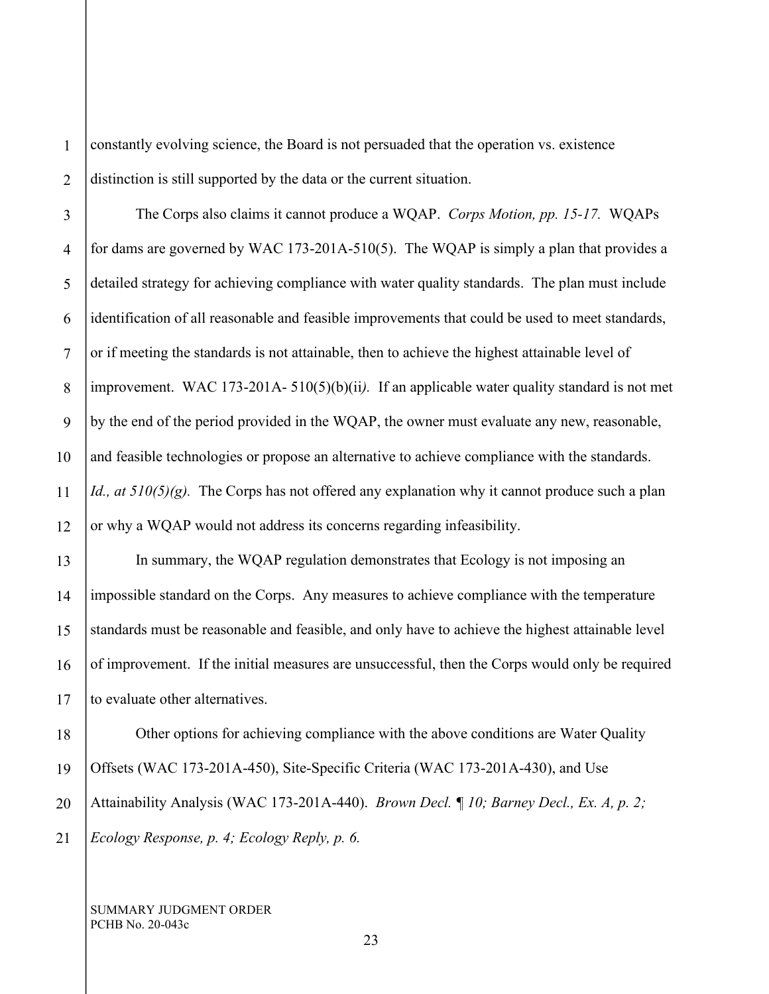1 2 constantly evolving science, the Board is not persuaded that the operation vs. existence distinction is still supported by the data or the current situation.

3 4 5 6 7 8 9 10 11 12 The Corps also claims it cannot produce a WQAP. *Corps Motion, pp. 15-17.* WQAPs for dams are governed by WAC 173-201A-510(5). The WQAP is simply a plan that provides a detailed strategy for achieving compliance with water quality standards. The plan must include identification of all reasonable and feasible improvements that could be used to meet standards, or if meeting the standards is not attainable, then to achieve the highest attainable level of improvement. WAC 173-201A- 510(5)(b)(ii*).* If an applicable water quality standard is not met by the end of the period provided in the WQAP, the owner must evaluate any new, reasonable, and feasible technologies or propose an alternative to achieve compliance with the standards. *Id., at 510(5)(g).* The Corps has not offered any explanation why it cannot produce such a plan or why a WQAP would not address its concerns regarding infeasibility.

13 14 15 16 17 In summary, the WQAP regulation demonstrates that Ecology is not imposing an impossible standard on the Corps. Any measures to achieve compliance with the temperature standards must be reasonable and feasible, and only have to achieve the highest attainable level of improvement. If the initial measures are unsuccessful, then the Corps would only be required to evaluate other alternatives.

18 19 20 21 Other options for achieving compliance with the above conditions are Water Quality Offsets (WAC 173-201A-450), Site-Specific Criteria (WAC 173-201A-430), and Use Attainability Analysis (WAC 173-201A-440). *Brown Decl. ¶ 10; Barney Decl., Ex. A, p. 2; Ecology Response, p. 4; Ecology Reply, p. 6.*

SUMMARY JUDGMENT ORDER PCHB No. 20-043c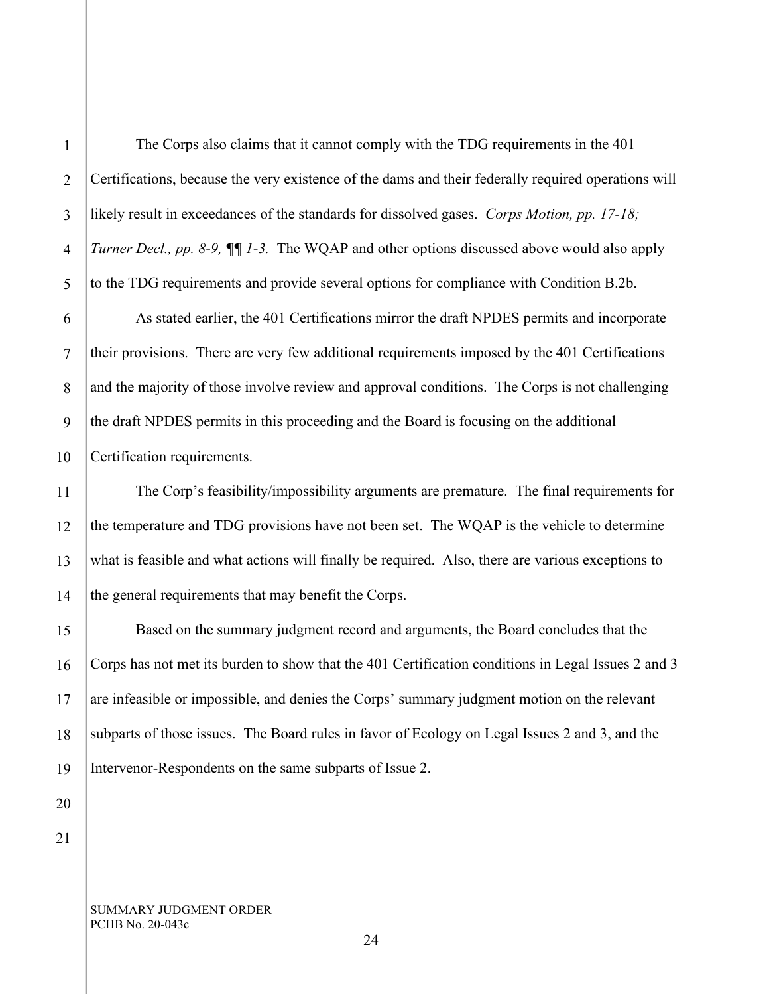1

The Corps also claims that it cannot comply with the TDG requirements in the 401 Certifications, because the very existence of the dams and their federally required operations will likely result in exceedances of the standards for dissolved gases. *Corps Motion, pp. 17-18; Turner Decl., pp. 8-9, ¶¶ 1-3.* The WQAP and other options discussed above would also apply to the TDG requirements and provide several options for compliance with Condition B.2b.

As stated earlier, the 401 Certifications mirror the draft NPDES permits and incorporate their provisions. There are very few additional requirements imposed by the 401 Certifications and the majority of those involve review and approval conditions. The Corps is not challenging the draft NPDES permits in this proceeding and the Board is focusing on the additional Certification requirements.

The Corp's feasibility/impossibility arguments are premature. The final requirements for the temperature and TDG provisions have not been set. The WQAP is the vehicle to determine what is feasible and what actions will finally be required. Also, there are various exceptions to the general requirements that may benefit the Corps.

Based on the summary judgment record and arguments, the Board concludes that the Corps has not met its burden to show that the 401 Certification conditions in Legal Issues 2 and 3 are infeasible or impossible, and denies the Corps' summary judgment motion on the relevant subparts of those issues. The Board rules in favor of Ecology on Legal Issues 2 and 3, and the Intervenor-Respondents on the same subparts of Issue 2.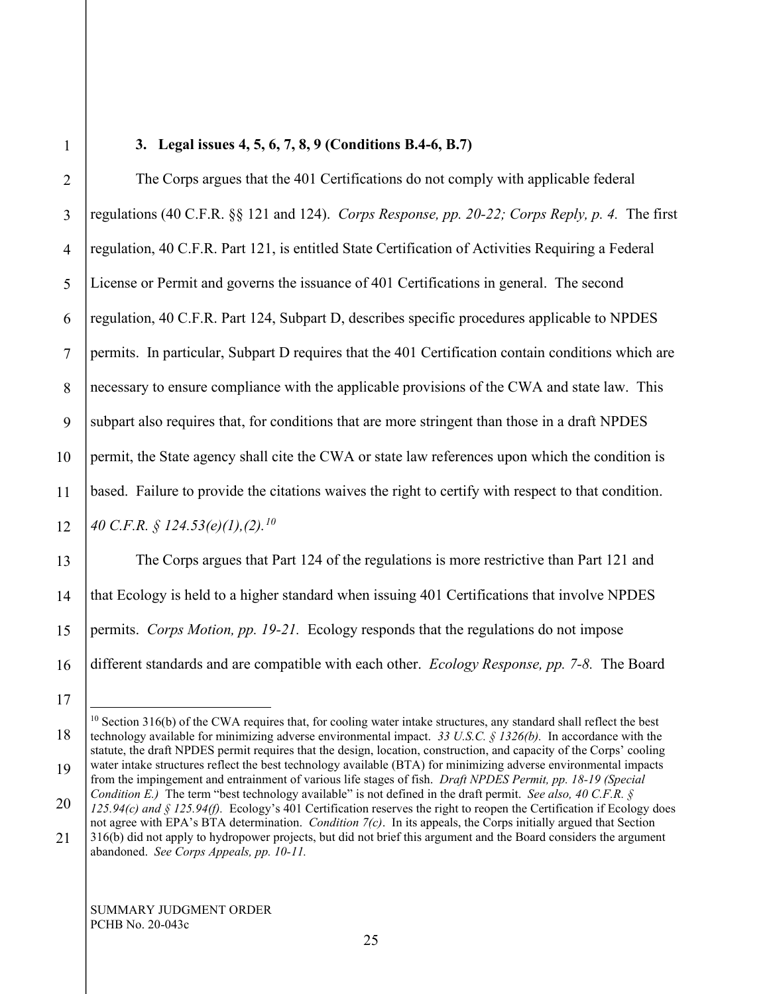# 1

## **3. Legal issues 4, 5, 6, 7, 8, 9 (Conditions B.4-6, B.7)**

2 3 4 5 6 7 8 9 10 11 12 13 14 15 The Corps argues that the 401 Certifications do not comply with applicable federal regulations (40 C.F.R. §§ 121 and 124). *Corps Response, pp. 20-22; Corps Reply, p. 4.* The first regulation, 40 C.F.R. Part 121, is entitled State Certification of Activities Requiring a Federal License or Permit and governs the issuance of 401 Certifications in general. The second regulation, 40 C.F.R. Part 124, Subpart D, describes specific procedures applicable to NPDES permits. In particular, Subpart D requires that the 401 Certification contain conditions which are necessary to ensure compliance with the applicable provisions of the CWA and state law. This subpart also requires that, for conditions that are more stringent than those in a draft NPDES permit, the State agency shall cite the CWA or state law references upon which the condition is based. Failure to provide the citations waives the right to certify with respect to that condition. *40 C.F.R. § 124.53(e)(1),(2).[10](#page-24-0)* The Corps argues that Part 124 of the regulations is more restrictive than Part 121 and that Ecology is held to a higher standard when issuing 401 Certifications that involve NPDES permits. *Corps Motion, pp. 19-21.* Ecology responds that the regulations do not impose

16 17 different standards and are compatible with each other. *Ecology Response, pp. 7-8.* The Board

<span id="page-24-0"></span><sup>18</sup>  $10$  Section 316(b) of the CWA requires that, for cooling water intake structures, any standard shall reflect the best technology available for minimizing adverse environmental impact. *33 U.S.C. § 1326(b).* In accordance with the statute, the draft NPDES permit requires that the design, location, construction, and capacity of the Corps' cooling water intake structures reflect the best technology available (BTA) for minimizing adverse environmental impacts

<sup>19</sup> 20 from the impingement and entrainment of various life stages of fish. *Draft NPDES Permit, pp. 18-19 (Special Condition E.)* The term "best technology available" is not defined in the draft permit. *See also, 40 C.F.R. §* 

*<sup>125.94(</sup>c) and § 125.94(f).* Ecology's 401 Certification reserves the right to reopen the Certification if Ecology does not agree with EPA's BTA determination. *Condition 7(c)*. In its appeals, the Corps initially argued that Section 316(b) did not apply to hydropower projects, but did not brief this argument and the Board considers the argument

<sup>21</sup> abandoned. *See Corps Appeals, pp. 10-11.*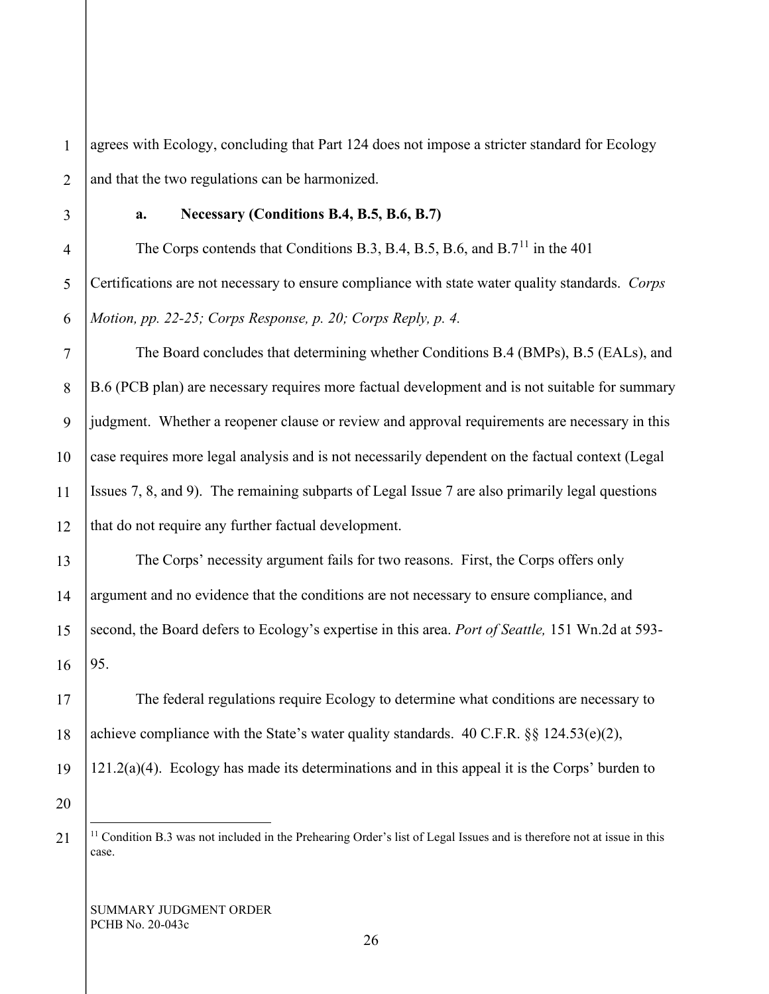1 2 agrees with Ecology, concluding that Part 124 does not impose a stricter standard for Ecology and that the two regulations can be harmonized.

3

# **a. Necessary (Conditions B.4, B.5, B.6, B.7)**

4 5 6 The Corps contends that Conditions B.3, B.4, B.5, B.6, and B.7<sup>[11](#page-25-0)</sup> in the 401 Certifications are not necessary to ensure compliance with state water quality standards. *Corps Motion, pp. 22-25; Corps Response, p. 20; Corps Reply, p. 4.*

7 8 9 10 11 12 The Board concludes that determining whether Conditions B.4 (BMPs), B.5 (EALs), and B.6 (PCB plan) are necessary requires more factual development and is not suitable for summary judgment. Whether a reopener clause or review and approval requirements are necessary in this case requires more legal analysis and is not necessarily dependent on the factual context (Legal Issues 7, 8, and 9). The remaining subparts of Legal Issue 7 are also primarily legal questions that do not require any further factual development.

13 14 15 16 The Corps' necessity argument fails for two reasons. First, the Corps offers only argument and no evidence that the conditions are not necessary to ensure compliance, and second, the Board defers to Ecology's expertise in this area. *Port of Seattle,* 151 Wn.2d at 593- 95.

The federal regulations require Ecology to determine what conditions are necessary to achieve compliance with the State's water quality standards.  $40 \text{ C.F.R.}$  §§  $124.53(e)(2)$ ,

19  $121.2(a)(4)$ . Ecology has made its determinations and in this appeal it is the Corps' burden to

20

<span id="page-25-0"></span>21

17

 $11$  Condition B.3 was not included in the Prehearing Order's list of Legal Issues and is therefore not at issue in this case.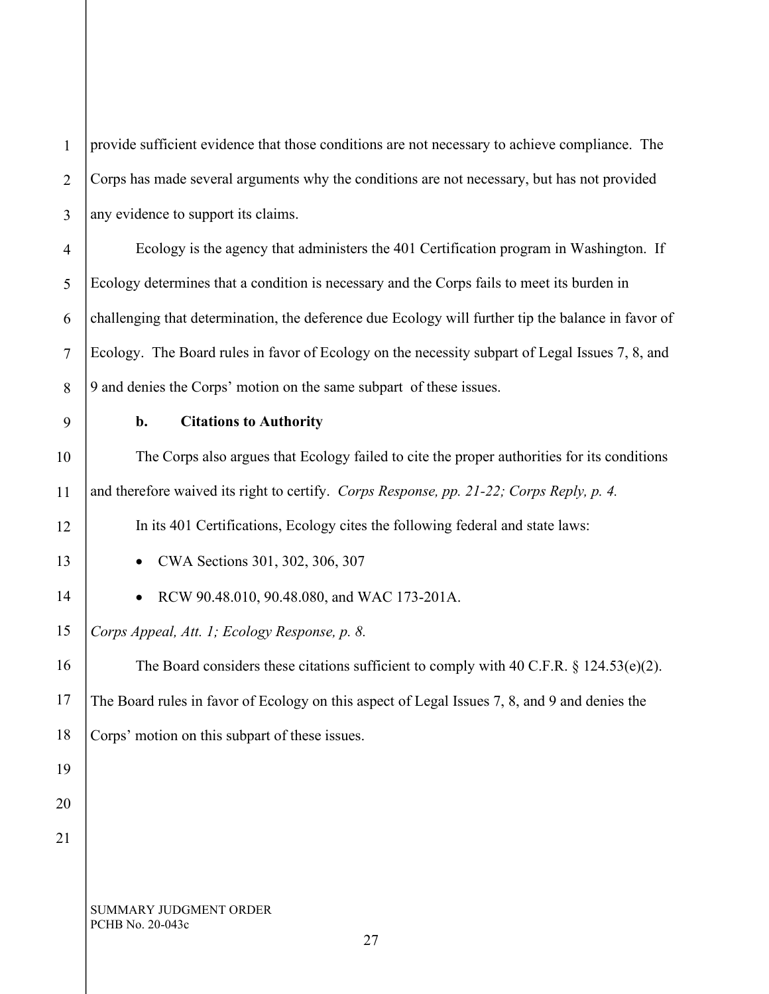| $\mathbf{1}$   | provide sufficient evidence that those conditions are not necessary to achieve compliance. The     |
|----------------|----------------------------------------------------------------------------------------------------|
| $\overline{2}$ | Corps has made several arguments why the conditions are not necessary, but has not provided        |
| 3              | any evidence to support its claims.                                                                |
| 4              | Ecology is the agency that administers the 401 Certification program in Washington. If             |
| 5              | Ecology determines that a condition is necessary and the Corps fails to meet its burden in         |
| 6              | challenging that determination, the deference due Ecology will further tip the balance in favor of |
| $\tau$         | Ecology. The Board rules in favor of Ecology on the necessity subpart of Legal Issues 7, 8, and    |
| 8              | 9 and denies the Corps' motion on the same subpart of these issues.                                |
| 9              | <b>Citations to Authority</b><br>b.                                                                |
| 10             | The Corps also argues that Ecology failed to cite the proper authorities for its conditions        |
| 11             | and therefore waived its right to certify. Corps Response, pp. 21-22; Corps Reply, p. 4.           |
| 12             | In its 401 Certifications, Ecology cites the following federal and state laws:                     |
| 13             | CWA Sections 301, 302, 306, 307<br>$\bullet$                                                       |
| 14             | RCW 90.48.010, 90.48.080, and WAC 173-201A.                                                        |
| 15             | Corps Appeal, Att. 1; Ecology Response, p. 8.                                                      |
| 16             | The Board considers these citations sufficient to comply with 40 C.F.R. $\S$ 124.53(e)(2).         |
| 17             | The Board rules in favor of Ecology on this aspect of Legal Issues 7, 8, and 9 and denies the      |
| 18             | Corps' motion on this subpart of these issues.                                                     |
| 19             |                                                                                                    |
| 20             |                                                                                                    |
| 21             |                                                                                                    |
|                |                                                                                                    |
|                | SUMMARY JUDGMENT ORDER<br>PCHB No. 20-043c<br>27                                                   |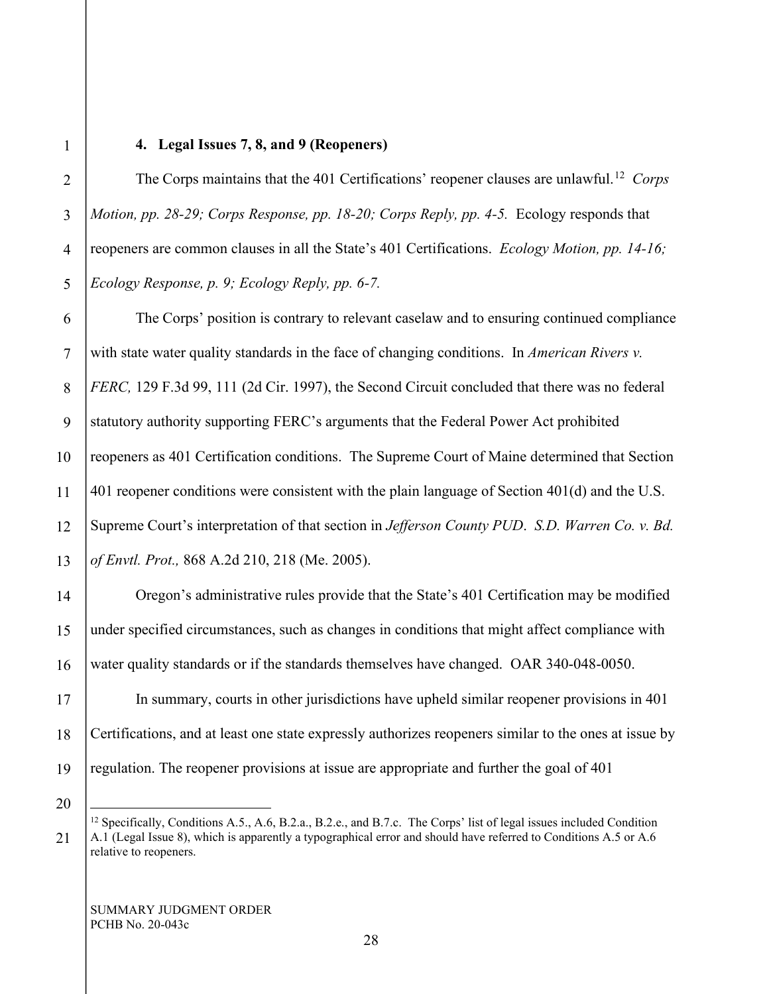### **4. Legal Issues 7, 8, and 9 (Reopeners)**

2 3 5 The Corps maintains that the 401 Certifications' reopener clauses are unlawful.<sup>12</sup> *Corps Motion, pp. 28-29; Corps Response, pp. 18-20; Corps Reply, pp. 4-5.* Ecology responds that reopeners are common clauses in all the State's 401 Certifications. *Ecology Motion, pp. 14-16; Ecology Response, p. 9; Ecology Reply, pp. 6-7.*

6 7 8 9 10 11 12 13 The Corps' position is contrary to relevant caselaw and to ensuring continued compliance with state water quality standards in the face of changing conditions. In *American Rivers v. FERC,* 129 F.3d 99, 111 (2d Cir. 1997), the Second Circuit concluded that there was no federal statutory authority supporting FERC's arguments that the Federal Power Act prohibited reopeners as 401 Certification conditions. The Supreme Court of Maine determined that Section 401 reopener conditions were consistent with the plain language of Section 401(d) and the U.S. Supreme Court's interpretation of that section in *Jefferson County PUD*. *S.D. Warren Co. v. Bd. of Envtl. Prot.,* 868 A.2d 210, 218 (Me. 2005).

Oregon's administrative rules provide that the State's 401 Certification may be modified under specified circumstances, such as changes in conditions that might affect compliance with water quality standards or if the standards themselves have changed. OAR 340-048-0050.

19 In summary, courts in other jurisdictions have upheld similar reopener provisions in 401 Certifications, and at least one state expressly authorizes reopeners similar to the ones at issue by regulation. The reopener provisions at issue are appropriate and further the goal of 401

20

<span id="page-27-0"></span>21

14

15

16

17

18

SUMMARY JUDGMENT ORDER PCHB No. 20-043c

<sup>&</sup>lt;sup>12</sup> Specifically, Conditions A.5., A.6, B.2.a., B.2.e., and B.7.c. The Corps' list of legal issues included Condition A.1 (Legal Issue 8), which is apparently a typographical error and should have referred to Conditions A.5 or A.6 relative to reopeners.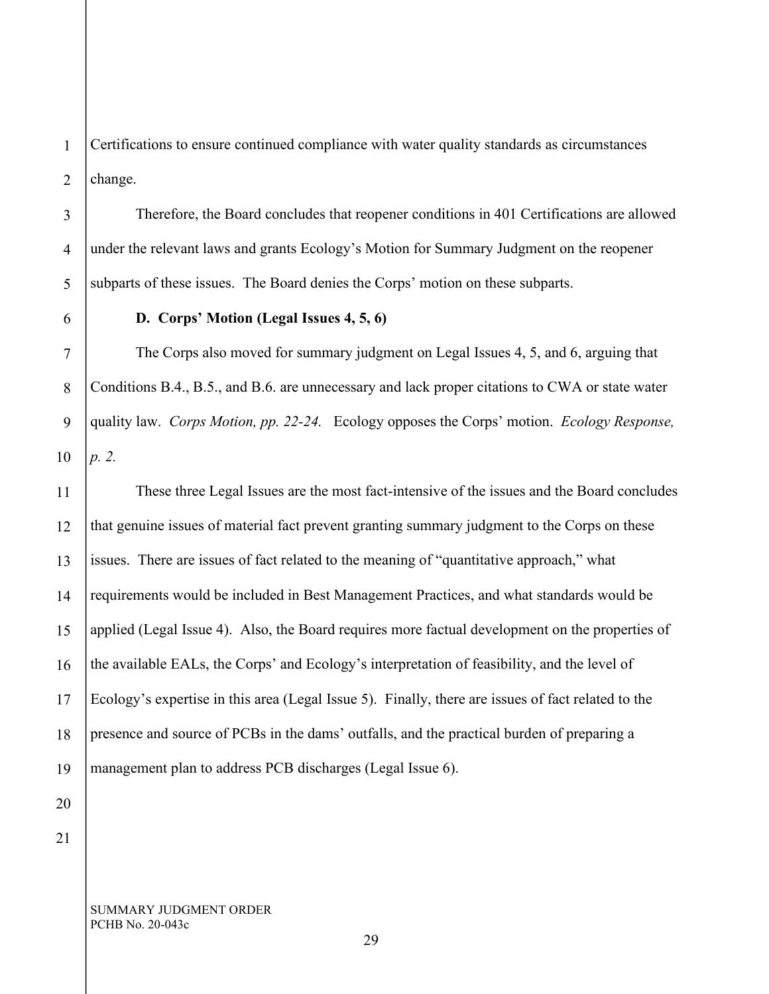1 2 Certifications to ensure continued compliance with water quality standards as circumstances change.

3 4 5 Therefore, the Board concludes that reopener conditions in 401 Certifications are allowed under the relevant laws and grants Ecology's Motion for Summary Judgment on the reopener subparts of these issues. The Board denies the Corps' motion on these subparts.

6 7

8

9

10

### **D. Corps' Motion (Legal Issues 4, 5, 6)**

The Corps also moved for summary judgment on Legal Issues 4, 5, and 6, arguing that Conditions B.4., B.5., and B.6. are unnecessary and lack proper citations to CWA or state water quality law. *Corps Motion, pp. 22-24.* Ecology opposes the Corps' motion. *Ecology Response, p. 2.*

11 12 13 14 15 16 17 18 19 These three Legal Issues are the most fact-intensive of the issues and the Board concludes that genuine issues of material fact prevent granting summary judgment to the Corps on these issues. There are issues of fact related to the meaning of "quantitative approach," what requirements would be included in Best Management Practices, and what standards would be applied (Legal Issue 4). Also, the Board requires more factual development on the properties of the available EALs, the Corps' and Ecology's interpretation of feasibility, and the level of Ecology's expertise in this area (Legal Issue 5). Finally, there are issues of fact related to the presence and source of PCBs in the dams' outfalls, and the practical burden of preparing a management plan to address PCB discharges (Legal Issue 6).

21

20

SUMMARY JUDGMENT ORDER PCHB No. 20-043c